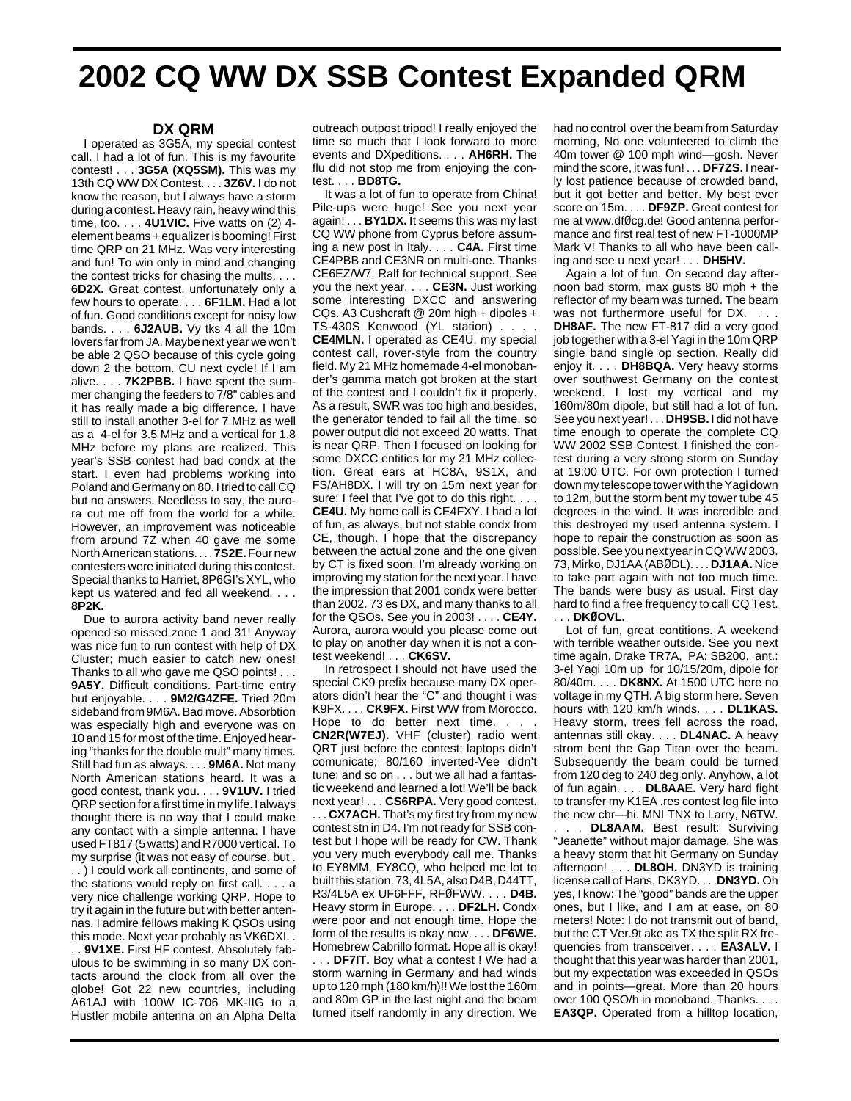## **2002 CQ WW DX SSB Contest Expanded QRM**

## **DX QRM**

I operated as 3G5A, my special contest call. I had a lot of fun. This is my favourite contest! . . . **3G5A (XQ5SM).** This was my 13th CQ WW DX Contest. . . . **3Z6V.** I do not know the reason, but I always have a storm during a contest. Heavy rain, heavy wind this time, too. . . . **4U1VIC.** Five watts on (2) 4 element beams + equalizer is booming! First time QRP on 21 MHz. Was very interesting and fun! To win only in mind and changing the contest tricks for chasing the mults. . . . **6D2X.** Great contest, unfortunately only a few hours to operate. . . . **6F1LM.** Had a lot of fun. Good conditions except for noisy low bands. . . . **6J2AUB.** Vy tks 4 all the 10m lovers far from JA. Maybe next year we won't be able 2 QSO because of this cycle going down 2 the bottom. CU next cycle! If I am alive. . . . **7K2PBB.** I have spent the summer changing the feeders to 7/8" cables and it has really made a big difference. I have still to install another 3-el for 7 MHz as well as a 4-el for 3.5 MHz and a vertical for 1.8 MHz before my plans are realized. This year's SSB contest had bad condx at the start. I even had problems working into Poland and Germany on 80. I tried to call CQ but no answers. Needless to say, the aurora cut me off from the world for a while. However, an improvement was noticeable from around 7Z when 40 gave me some North American stations. . . . **7S2E.**Four new contesters were initiated during this contest. Special thanks to Harriet, 8P6GI's XYL, who kept us watered and fed all weekend. . . . **8P2K.**

Due to aurora activity band never really opened so missed zone 1 and 31! Anyway was nice fun to run contest with help of DX Cluster; much easier to catch new ones! Thanks to all who gave me QSO points! . . . **9A5Y.** Difficult conditions. Part-time entry but enjoyable. . . . **9M2/G4ZFE.** Tried 20m sideband from 9M6A. Bad move. Absorbtion was especially high and everyone was on 10 and 15 for most of the time. Enjoyed hearing "thanks for the double mult" many times. Still had fun as always. . . . **9M6A.** Not many North American stations heard. It was a good contest, thank you. . . . **9V1UV.** I tried QRP section for a first time in my life. I always thought there is no way that I could make any contact with a simple antenna. I have used FT817 (5 watts) and R7000 vertical. To my surprise (it was not easy of course, but . . . ) I could work all continents, and some of the stations would reply on first call. . . . a very nice challenge working QRP. Hope to try it again in the future but with better antennas. I admire fellows making K QSOs using this mode. Next year probably as VK6DXI. .

. . **9V1XE.** First HF contest. Absolutely fabulous to be swimming in so many DX contacts around the clock from all over the globe! Got 22 new countries, including A61AJ with 100W IC-706 MK-IIG to a Hustler mobile antenna on an Alpha Delta

outreach outpost tripod! I really enjoyed the time so much that I look forward to more events and DXpeditions. . . . **AH6RH.** The flu did not stop me from enjoying the contest. . . . **BD8TG.**

It was a lot of fun to operate from China! Pile-ups were huge! See you next year again! . . . **BY1DX. I**t seems this was my last CQ WW phone from Cyprus before assuming a new post in Italy. . . . **C4A.** First time CE4PBB and CE3NR on multi-one. Thanks CE6EZ/W7, Ralf for technical support. See you the next year. . . . **CE3N.** Just working some interesting DXCC and answering CQs. A3 Cushcraft @ 20m high + dipoles + TS-430S Kenwood (YL station) . . . . **CE4MLN.** I operated as CE4U, my special contest call, rover-style from the country field. My 21 MHz homemade 4-el monobander's gamma match got broken at the start of the contest and I couldn't fix it properly. As a result, SWR was too high and besides, the generator tended to fail all the time, so power output did not exceed 20 watts. That is near QRP. Then I focused on looking for some DXCC entities for my 21 MHz collection. Great ears at HC8A, 9S1X, and FS/AH8DX. I will try on 15m next year for sure: I feel that I've got to do this right. . . . **CE4U.** My home call is CE4FXY. I had a lot of fun, as always, but not stable condx from CE, though. I hope that the discrepancy between the actual zone and the one given by CT is fixed soon. I'm already working on improving my station for the next year. I have the impression that 2001 condx were better than 2002. 73 es DX, and many thanks to all for the QSOs. See you in 2003! . . . . **CE4Y.** Aurora, aurora would you please come out to play on another day when it is not a contest weekend! . . . **CK6SV.**

In retrospect I should not have used the special CK9 prefix because many DX operators didn't hear the "C" and thought i was K9FX. . . . **CK9FX.** First WW from Morocco. Hope to do better next time. . . . **CN2R(W7EJ).** VHF (cluster) radio went QRT just before the contest; laptops didn't comunicate; 80/160 inverted-Vee didn't tune; and so on . . . but we all had a fantastic weekend and learned a lot! We'll be back next year! . . . **CS6RPA.** Very good contest. . . . **CX7ACH.** That's my first try from my new contest stn in D4. I'm not ready for SSB contest but I hope will be ready for CW. Thank you very much everybody call me. Thanks to EY8MM, EY8CQ, who helped me lot to built this station. 73, 4L5A, also D4B, D44TT, R3/4L5A ex UF6FFF, RFØFWW. . . . **D4B.** Heavy storm in Europe. . . . **DF2LH.** Condx were poor and not enough time. Hope the form of the results is okay now. . . . **DF6WE.** Homebrew Cabrillo format. Hope all is okay!

. . . **DF7IT.** Boy what a contest ! We had a storm warning in Germany and had winds up to 120 mph (180 km/h)!! We lost the 160m and 80m GP in the last night and the beam turned itself randomly in any direction. We had no control over the beam from Saturday morning, No one volunteered to climb the 40m tower @ 100 mph wind—gosh. Never mind the score, it was fun! . . . **DF7ZS.** I nearly lost patience because of crowded band, but it got better and better. My best ever score on 15m. . . . **DF9ZP.** Great contest for me at www.dfØcg.de! Good antenna performance and first real test of new FT-1000MP Mark V! Thanks to all who have been calling and see u next year! . . . **DH5HV.**

Again a lot of fun. On second day afternoon bad storm, max gusts 80 mph + the reflector of my beam was turned. The beam was not furthermore useful for DX. . . . **DH8AF.** The new FT-817 did a very good job together with a 3-el Yagi in the 10m QRP single band single op section. Really did enjoy it. . . . **DH8BQA.** Very heavy storms over southwest Germany on the contest weekend. I lost my vertical and my 160m/80m dipole, but still had a lot of fun. See you next year! . . . **DH9SB.** I did not have time enough to operate the complete CQ WW 2002 SSB Contest. I finished the contest during a very strong storm on Sunday at 19:00 UTC. For own protection I turned down my telescope tower with the Yagi down to 12m, but the storm bent my tower tube 45 degrees in the wind. It was incredible and this destroyed my used antenna system. I hope to repair the construction as soon as possible. See you next year in CQ WW 2003. 73, Mirko, DJ1AA (ABØDL). . . . **DJ1AA.** Nice to take part again with not too much time. The bands were busy as usual. First day hard to find a free frequency to call CQ Test. . . . **DKØOVL.** 

Lot of fun, great contitions. A weekend with terrible weather outside. See you next time again. Drake TR7A, PA: SB200, ant.: 3-el Yagi 10m up for 10/15/20m, dipole for 80/40m. . . . **DK8NX.** At 1500 UTC here no voltage in my QTH. A big storm here. Seven hours with 120 km/h winds. . . . **DL1KAS.** Heavy storm, trees fell across the road, antennas still okay. . . . **DL4NAC.** A heavy strom bent the Gap Titan over the beam. Subsequently the beam could be turned from 120 deg to 240 deg only. Anyhow, a lot of fun again. . . . **DL8AAE.** Very hard fight to transfer my K1EA .res contest log file into the new cbr—hi. MNI TNX to Larry, N6TW. . . . **DL8AAM.** Best result: Surviving "Jeanette" without major damage. She was a heavy storm that hit Germany on Sunday afternoon! . . . **DL8OH.** DN3YD is training license call of Hans, DK3YD. . . .**DN3YD.** Oh yes, I know: The "good" bands are the upper ones, but I like, and I am at ease, on 80 meters! Note: I do not transmit out of band, but the CT Ver.9t ake as TX the split RX frequencies from transceiver. . . . **EA3ALV.** I thought that this year was harder than 2001, but my expectation was exceeded in QSOs and in points—great. More than 20 hours over 100 QSO/h in monoband. Thanks. . . . **EA3QP.** Operated from a hilltop location,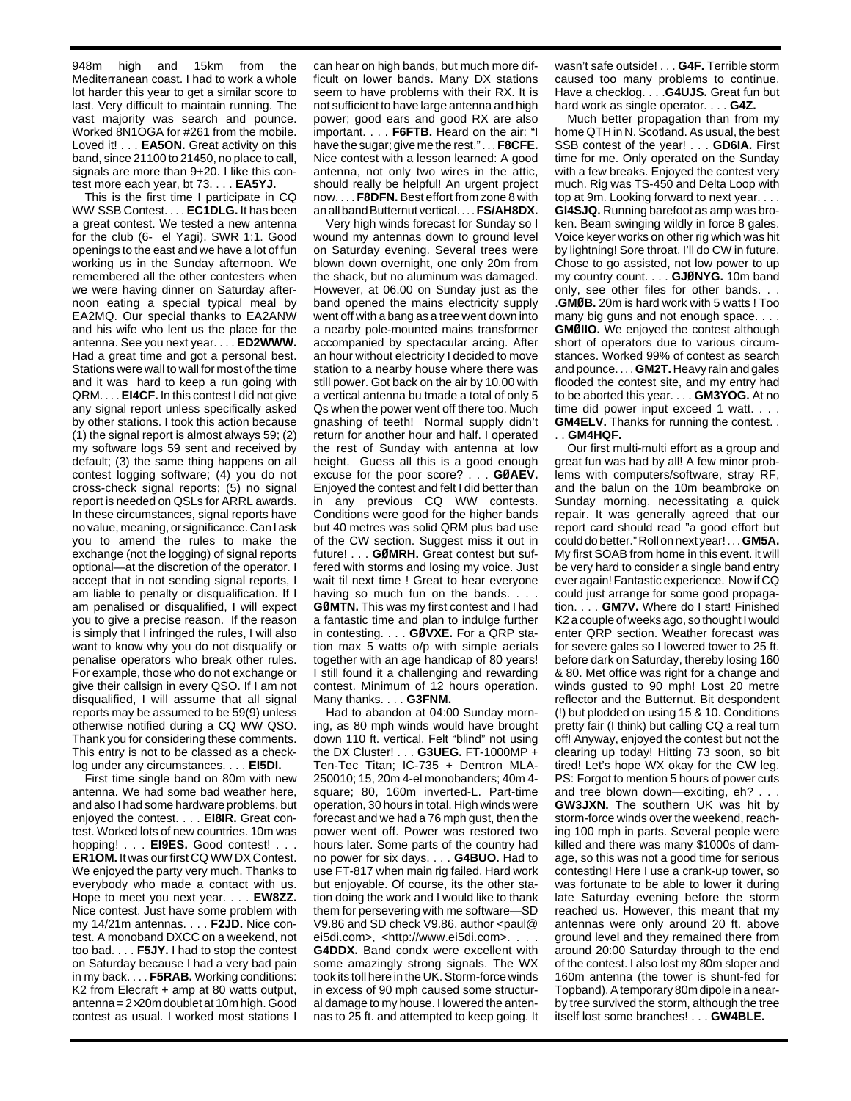948m high and 15km from the Mediterranean coast. I had to work a whole lot harder this year to get a similar score to last. Very difficult to maintain running. The vast majority was search and pounce. Worked 8N1OGA for #261 from the mobile. Loved it! . . . **EA5ON.** Great activity on this band, since 21100 to 21450, no place to call, signals are more than 9+20. I like this contest more each year, bt 73. . . . **EA5YJ.**

This is the first time I participate in CQ WW SSB Contest. . . . **EC1DLG.** It has been a great contest. We tested a new antenna for the club (6- el Yagi). SWR 1:1. Good openings to the east and we have a lot of fun working us in the Sunday afternoon. We remembered all the other contesters when we were having dinner on Saturday afternoon eating a special typical meal by EA2MQ. Our special thanks to EA2ANW and his wife who lent us the place for the antenna. See you next year. . . . **ED2WWW.** Had a great time and got a personal best. Stations were wall to wall for most of the time and it was hard to keep a run going with QRM. . . . **EI4CF.** In this contest I did not give any signal report unless specifically asked by other stations. I took this action because (1) the signal report is almost always 59; (2) my software logs 59 sent and received by default; (3) the same thing happens on all contest logging software; (4) you do not cross-check signal reports; (5) no signal report is needed on QSLs for ARRL awards. In these circumstances, signal reports have no value, meaning, or significance. Can I ask you to amend the rules to make the exchange (not the logging) of signal reports optional—at the discretion of the operator. I accept that in not sending signal reports, I am liable to penalty or disqualification. If I am penalised or disqualified, I will expect you to give a precise reason. If the reason is simply that I infringed the rules, I will also want to know why you do not disqualify or penalise operators who break other rules. For example, those who do not exchange or give their callsign in every QSO. If I am not disqualified, I will assume that all signal reports may be assumed to be 59(9) unless otherwise notified during a CQ WW QSO. Thank you for considering these comments. This entry is not to be classed as a checklog under any circumstances. . . . **EI5DI.**

First time single band on 80m with new antenna. We had some bad weather here, and also I had some hardware problems, but enjoyed the contest. . . . **EI8IR.** Great contest. Worked lots of new countries. 10m was hopping! . . . **EI9ES.** Good contest! . . . **ER1OM.** It was our first CQ WW DX Contest. We enjoyed the party very much. Thanks to everybody who made a contact with us. Hope to meet you next year. . . . **EW8ZZ.** Nice contest. Just have some problem with my 14/21m antennas. . . . **F2JD.** Nice contest. A monoband DXCC on a weekend, not too bad. . . . **F5JY.** I had to stop the contest on Saturday because I had a very bad pain in my back. . . . **F5RAB.** Working conditions: K2 from Elecraft + amp at 80 watts output, antenna = 2×20m doublet at 10m high. Good contest as usual. I worked most stations I

can hear on high bands, but much more difficult on lower bands. Many DX stations seem to have problems with their RX. It is not sufficient to have large antenna and high power; good ears and good RX are also important. . . . **F6FTB.** Heard on the air: "I have the sugar; give me the rest." . . . **F8CFE.** Nice contest with a lesson learned: A good antenna, not only two wires in the attic, should really be helpful! An urgent project now. . . . **F8DFN.** Best effort from zone 8 with an all band Butternut vertical. . . . **FS/AH8DX.**

Very high winds forecast for Sunday so I wound my antennas down to ground level on Saturday evening. Several trees were blown down overnight, one only 20m from the shack, but no aluminum was damaged. However, at 06.00 on Sunday just as the band opened the mains electricity supply went off with a bang as a tree went down into a nearby pole-mounted mains transformer accompanied by spectacular arcing. After an hour without electricity I decided to move station to a nearby house where there was still power. Got back on the air by 10.00 with a vertical antenna bu tmade a total of only 5 Qs when the power went off there too. Much gnashing of teeth! Normal supply didn't return for another hour and half. I operated the rest of Sunday with antenna at low height. Guess all this is a good enough excuse for the poor score? . . . **GØAEV.** Enjoyed the contest and felt I did better than in any previous CQ WW contests. Conditions were good for the higher bands but 40 metres was solid QRM plus bad use of the CW section. Suggest miss it out in future! . . . **GØMRH.** Great contest but suffered with storms and losing my voice. Just wait til next time ! Great to hear everyone having so much fun on the bands. . . . **GØMTN.** This was my first contest and I had a fantastic time and plan to indulge further in contesting. . . . **GØVXE.** For a QRP station max 5 watts o/p with simple aerials together with an age handicap of 80 years! I still found it a challenging and rewarding contest. Minimum of 12 hours operation. Many thanks. . . . **G3FNM.**

Had to abandon at 04:00 Sunday morning, as 80 mph winds would have brought down 110 ft. vertical. Felt "blind" not using the DX Cluster! . . . **G3UEG.** FT-1000MP + Ten-Tec Titan; IC-735 + Dentron MLA-250010; 15, 20m 4-el monobanders; 40m 4 square; 80, 160m inverted-L. Part-time operation, 30 hours in total. High winds were forecast and we had a 76 mph gust, then the power went off. Power was restored two hours later. Some parts of the country had no power for six days. . . . **G4BUO.** Had to use FT-817 when main rig failed. Hard work but enjoyable. Of course, its the other station doing the work and I would like to thank them for persevering with me software—SD V9.86 and SD check V9.86, author <paul@ ei5di.com>, <http://www.ei5di.com>. . **G4DDX.** Band condx were excellent with

some amazingly strong signals. The WX took its toll here in the UK. Storm-force winds in excess of 90 mph caused some structural damage to my house. I lowered the antennas to 25 ft. and attempted to keep going. It

wasn't safe outside! . . . **G4F.** Terrible storm caused too many problems to continue. Have a checklog. . . .**G4UJS.** Great fun but hard work as single operator. . . . **G4Z.**

Much better propagation than from my home QTH in N. Scotland. As usual, the best SSB contest of the year! . . . **GD6IA.** First time for me. Only operated on the Sunday with a few breaks. Enjoyed the contest very much. Rig was TS-450 and Delta Loop with top at 9m. Looking forward to next year. . . . **GI4SJQ.** Running barefoot as amp was broken. Beam swinging wildly in force 8 gales. Voice keyer works on other rig which was hit by lightning! Sore throat. I'll do CW in future. Chose to go assisted, not low power to up my country count. . . . **GJØNYG.** 10m band only, see other files for other bands. . . .**GMØB.** 20m is hard work with 5 watts ! Too many big guns and not enough space. . . . **GMØIIO.** We enjoyed the contest although short of operators due to various circumstances. Worked 99% of contest as search and pounce. . . . **GM2T.** Heavy rain and gales flooded the contest site, and my entry had to be aborted this year. . . . **GM3YOG.** At no time did power input exceed 1 watt. . . . **GM4ELV.** Thanks for running the contest. . . . **GM4HQF.**

Our first multi-multi effort as a group and great fun was had by all! A few minor problems with computers/software, stray RF, and the balun on the 10m beambroke on Sunday morning, necessitating a quick repair. It was generally agreed that our report card should read "a good effort but could do better." Roll on next year! . . . **GM5A.** My first SOAB from home in this event. it will be very hard to consider a single band entry ever again! Fantastic experience. Now if CQ could just arrange for some good propagation. . . . **GM7V.** Where do I start! Finished K2 a couple of weeks ago, so thought I would enter QRP section. Weather forecast was for severe gales so I lowered tower to 25 ft. before dark on Saturday, thereby losing 160 & 80. Met office was right for a change and winds gusted to 90 mph! Lost 20 metre reflector and the Butternut. Bit despondent (!) but plodded on using 15 & 10. Conditions pretty fair (I think) but calling CQ a real turn off! Anyway, enjoyed the contest but not the clearing up today! Hitting 73 soon, so bit tired! Let's hope WX okay for the CW leg. PS: Forgot to mention 5 hours of power cuts and tree blown down—exciting, eh? . **GW3JXN.** The southern UK was hit by storm-force winds over the weekend, reaching 100 mph in parts. Several people were killed and there was many \$1000s of damage, so this was not a good time for serious contesting! Here I use a crank-up tower, so was fortunate to be able to lower it during late Saturday evening before the storm reached us. However, this meant that my antennas were only around 20 ft. above ground level and they remained there from around 20:00 Saturday through to the end of the contest. I also lost my 80m sloper and 160m antenna (the tower is shunt-fed for Topband). A temporary 80m dipole in a nearby tree survived the storm, although the tree itself lost some branches! . . . **GW4BLE.**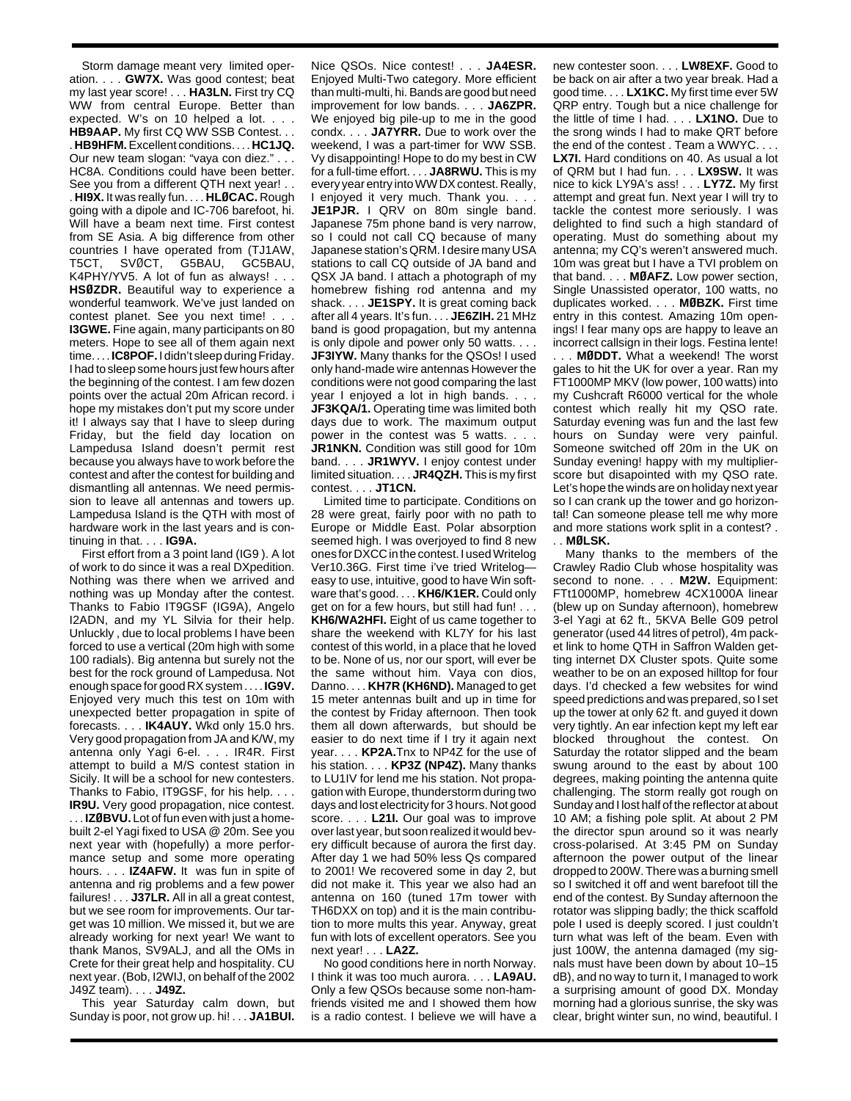Storm damage meant very limited operation. . . . **GW7X.** Was good contest; beat my last year score! . . . **HA3LN.** First try CQ WW from central Europe. Better than expected. W's on 10 helped a lot. . . . **HB9AAP.** My first CQ WW SSB Contest. . . . **HB9HFM.**Excellent conditions. . . . **HC1JQ.** Our new team slogan: "vaya con diez." . . . HC8A. Conditions could have been better. See you from a different QTH next year! . . . **HI9X.** It was really fun. . . . **HLØCAC.** Rough going with a dipole and IC-706 barefoot, hi. Will have a beam next time. First contest from SE Asia. A big difference from other countries I have operated from (TJ1AW, T5CT, SVØCT, G5BAU, GC5BAU, K4PHY/YV5. A lot of fun as always! . . . **HSØZDR.** Beautiful way to experience a wonderful teamwork. We've just landed on contest planet. See you next time! . . . **I3GWE.** Fine again, many participants on 80 meters. Hope to see all of them again next time. . . . **IC8POF.** I didn't sleep during Friday. I had to sleep some hours just few hours after the beginning of the contest. I am few dozen points over the actual 20m African record. i hope my mistakes don't put my score under it! I always say that I have to sleep during Friday, but the field day location on Lampedusa Island doesn't permit rest because you always have to work before the contest and after the contest for building and dismantling all antennas. We need permission to leave all antennas and towers up. Lampedusa Island is the QTH with most of hardware work in the last years and is continuing in that. . . . **IG9A.**

First effort from a 3 point land (IG9 ). A lot of work to do since it was a real DXpedition. Nothing was there when we arrived and nothing was up Monday after the contest. Thanks to Fabio IT9GSF (IG9A), Angelo I2ADN, and my YL Silvia for their help. Unluckly , due to local problems I have been forced to use a vertical (20m high with some 100 radials). Big antenna but surely not the best for the rock ground of Lampedusa. Not enough space for good RX system . . . . **IG9V.** Enjoyed very much this test on 10m with unexpected better propagation in spite of forecasts. . . . **IK4AUY.** Wkd only 15.0 hrs. Very good propagation from JA and K/W, my antenna only Yagi 6-el. . . . IR4R. First attempt to build a M/S contest station in Sicily. It will be a school for new contesters. Thanks to Fabio, IT9GSF, for his help. . . . **IR9U.** Very good propagation, nice contest. . . . **IZØBVU.** Lot of fun even with just a homebuilt 2-el Yagi fixed to USA @ 20m. See you next year with (hopefully) a more performance setup and some more operating hours. . . . **IZ4AFW.** It was fun in spite of antenna and rig problems and a few power failures! . . . **J37LR.** All in all a great contest, but we see room for improvements. Our target was 10 million. We missed it, but we are already working for next year! We want to thank Manos, SV9ALJ, and all the OMs in Crete for their great help and hospitality. CU next year. (Bob, I2WIJ, on behalf of the 2002 J49Z team). . . . **J49Z.**

This year Saturday calm down, but Sunday is poor, not grow up. hi! . . . **JA1BUI.**

Nice QSOs. Nice contest! . . . **JA4ESR.** Enjoyed Multi-Two category. More efficient than multi-multi, hi. Bands are good but need improvement for low bands. . . . **JA6ZPR.** We enjoyed big pile-up to me in the good condx. . . . **JA7YRR.** Due to work over the weekend, I was a part-timer for WW SSB. Vy disappointing! Hope to do my best in CW for a full-time effort. . . . **JA8RWU.** This is my every year entry into WW DX contest. Really, I enjoyed it very much. Thank you. . . . JE1PJR. I QRV on 80m single band. Japanese 75m phone band is very narrow, so I could not call CQ because of many Japanese station's QRM. I desire many USA stations to call CQ outside of JA band and QSX JA band. I attach a photograph of my homebrew fishing rod antenna and my shack. . . . **JE1SPY.** It is great coming back after all 4 years. It's fun. . . . **JE6ZIH.** 21 MHz band is good propagation, but my antenna is only dipole and power only 50 watts. . . . **JF3IYW.** Many thanks for the QSOs! I used only hand-made wire antennas However the conditions were not good comparing the last year I enjoyed a lot in high bands. . . . **JF3KQA/1.** Operating time was limited both days due to work. The maximum output power in the contest was 5 watts. . **JR1NKN.** Condition was still good for 10m band. . . . **JR1WYV.** I enjoy contest under limited situation. . . . **JR4QZH.** This is my first contest. . . . **JT1CN.**

Limited time to participate. Conditions on 28 were great, fairly poor with no path to Europe or Middle East. Polar absorption seemed high. I was overjoyed to find 8 new ones for DXCC in the contest. I used Writelog Ver10.36G. First time i've tried Writelog easy to use, intuitive, good to have Win software that's good. . . . **KH6/K1ER.** Could only get on for a few hours, but still had fun! . . . **KH6/WA2HFI.** Eight of us came together to share the weekend with KL7Y for his last contest of this world, in a place that he loved to be. None of us, nor our sport, will ever be the same without him. Vaya con dios, Danno. . . . **KH7R (KH6ND).** Managed to get 15 meter antennas built and up in time for the contest by Friday afternoon. Then took them all down afterwards, but should be easier to do next time if I try it again next year. . . . **KP2A.**Tnx to NP4Z for the use of his station. . . . **KP3Z (NP4Z).** Many thanks to LU1IV for lend me his station. Not propagation with Europe, thunderstorm during two days and lost electricity for 3 hours. Not good score. . . . **L21I.** Our goal was to improve over last year, but soon realized it would bevery difficult because of aurora the first day. After day 1 we had 50% less Qs compared to 2001! We recovered some in day 2, but did not make it. This year we also had an antenna on 160 (tuned 17m tower with TH6DXX on top) and it is the main contribution to more mults this year. Anyway, great fun with lots of excellent operators. See you next year! . . . **LA2Z.**

No good conditions here in north Norway. I think it was too much aurora. . . . **LA9AU.** Only a few QSOs because some non-hamfriends visited me and I showed them how is a radio contest. I believe we will have a new contester soon. . . . **LW8EXF.** Good to be back on air after a two year break. Had a good time. . . . **LX1KC.** My first time ever 5W QRP entry. Tough but a nice challenge for the little of time I had. . . . **LX1NO.** Due to the srong winds I had to make QRT before the end of the contest . Team a WWYC. . . . **LX7I.** Hard conditions on 40. As usual a lot of QRM but I had fun. . . . **LX9SW.** It was nice to kick LY9A's ass! . . . **LY7Z.** My first attempt and great fun. Next year I will try to tackle the contest more seriously. I was delighted to find such a high standard of operating. Must do something about my antenna; my CQ's weren't answered much. 10m was great but I have a TVI problem on that band. . . . **MØAFZ.** Low power section, Single Unassisted operator, 100 watts, no duplicates worked. . . . **MØBZK.** First time entry in this contest. Amazing 10m openings! I fear many ops are happy to leave an incorrect callsign in their logs. Festina lente! . . . **MØDDT.** What a weekend! The worst gales to hit the UK for over a year. Ran my FT1000MP MKV (low power, 100 watts) into my Cushcraft R6000 vertical for the whole contest which really hit my QSO rate. Saturday evening was fun and the last few hours on Sunday were very painful. Someone switched off 20m in the UK on Sunday evening! happy with my multiplierscore but disapointed with my QSO rate. Let's hope the winds are on holiday next year

so I can crank up the tower and go horizontal! Can someone please tell me why more and more stations work split in a contest? . . . **MØLSK.**

Many thanks to the members of the Crawley Radio Club whose hospitality was second to none. . . . **M2W.** Equipment: FTt1000MP, homebrew 4CX1000A linear (blew up on Sunday afternoon), homebrew 3-el Yagi at 62 ft., 5KVA Belle G09 petrol generator (used 44 litres of petrol), 4m packet link to home QTH in Saffron Walden getting internet DX Cluster spots. Quite some weather to be on an exposed hilltop for four days. I'd checked a few websites for wind speed predictions and was prepared, so I set up the tower at only 62 ft. and guyed it down very tightly. An ear infection kept my left ear blocked throughout the contest. On Saturday the rotator slipped and the beam swung around to the east by about 100 degrees, making pointing the antenna quite challenging. The storm really got rough on Sunday and I lost half of the reflector at about 10 AM; a fishing pole split. At about 2 PM the director spun around so it was nearly cross-polarised. At 3:45 PM on Sunday afternoon the power output of the linear dropped to 200W. There was a burning smell so I switched it off and went barefoot till the end of the contest. By Sunday afternoon the rotator was slipping badly; the thick scaffold pole I used is deeply scored. I just couldn't turn what was left of the beam. Even with just 100W, the antenna damaged (my signals must have been down by about 10–15 dB), and no way to turn it, I managed to work a surprising amount of good DX. Monday morning had a glorious sunrise, the sky was clear, bright winter sun, no wind, beautiful. I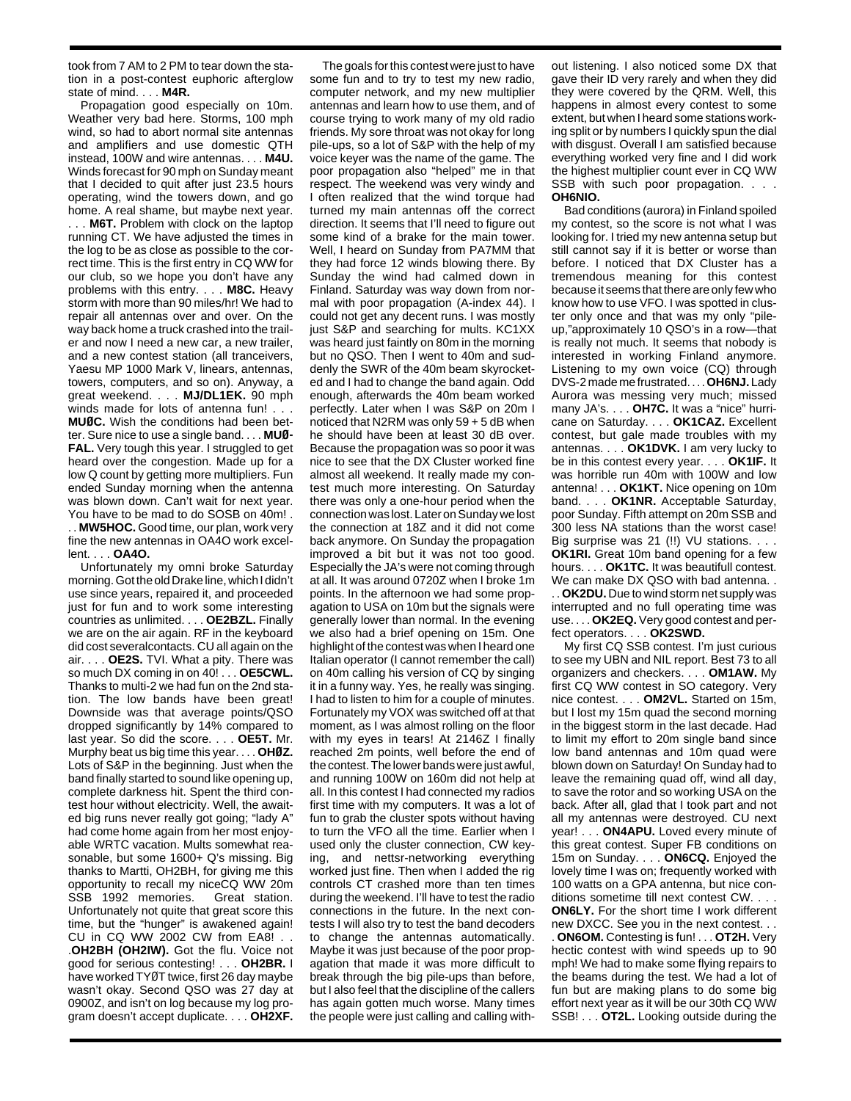took from 7 AM to 2 PM to tear down the station in a post-contest euphoric afterglow state of mind. . . . **M4R.**

Propagation good especially on 10m. Weather very bad here. Storms, 100 mph wind, so had to abort normal site antennas and amplifiers and use domestic QTH instead, 100W and wire antennas. . . . **M4U.** Winds forecast for 90 mph on Sunday meant that I decided to quit after just 23.5 hours operating, wind the towers down, and go home. A real shame, but maybe next year. . . . **M6T.** Problem with clock on the laptop running CT. We have adjusted the times in the log to be as close as possible to the correct time. This is the first entry in CQ WW for our club, so we hope you don't have any problems with this entry. . . . **M8C.** Heavy storm with more than 90 miles/hr! We had to repair all antennas over and over. On the way back home a truck crashed into the trailer and now I need a new car, a new trailer, and a new contest station (all tranceivers, Yaesu MP 1000 Mark V, linears, antennas, towers, computers, and so on). Anyway, a great weekend. . . . **MJ/DL1EK.** 90 mph winds made for lots of antenna fun! . . . **MUØC.** Wish the conditions had been better. Sure nice to use a single band. . . . **MUØ-FAL.** Very tough this year. I struggled to get heard over the congestion. Made up for a low Q count by getting more multipliers. Fun ended Sunday morning when the antenna was blown down. Can't wait for next year. You have to be mad to do SOSB on 40m! . . . **MW5HOC.** Good time, our plan, work very fine the new antennas in OA4O work excellent. . . . **OA4O.**

Unfortunately my omni broke Saturday morning. Got the old Drake line, which I didn't use since years, repaired it, and proceeded just for fun and to work some interesting countries as unlimited. . . . **OE2BZL.** Finally we are on the air again. RF in the keyboard did cost severalcontacts. CU all again on the air. . . . **OE2S.** TVI. What a pity. There was so much DX coming in on 40! . . . **OE5CWL.** Thanks to multi-2 we had fun on the 2nd station. The low bands have been great! Downside was that average points/QSO dropped significantly by 14% compared to last year. So did the score. . . . **OE5T.** Mr. Murphy beat us big time this year. . . . **OHØZ.** Lots of S&P in the beginning. Just when the band finally started to sound like opening up, complete darkness hit. Spent the third contest hour without electricity. Well, the awaited big runs never really got going; "lady A" had come home again from her most enjoyable WRTC vacation. Mults somewhat reasonable, but some 1600+ Q's missing. Big thanks to Martti, OH2BH, for giving me this opportunity to recall my niceCQ WW 20m SSB 1992 memories. Great station. Unfortunately not quite that great score this time, but the "hunger" is awakened again! CU in CQ WW 2002 CW from EA8! . .

.**OH2BH (OH2IW).** Got the flu. Voice not good for serious contesting! . . . **OH2BR.** I have worked TYØT twice, first 26 day maybe wasn't okay. Second QSO was 27 day at 0900Z, and isn't on log because my log program doesn't accept duplicate. . . . **OH2XF.**

The goals for this contest were just to have some fun and to try to test my new radio, computer network, and my new multiplier antennas and learn how to use them, and of course trying to work many of my old radio friends. My sore throat was not okay for long pile-ups, so a lot of S&P with the help of my voice keyer was the name of the game. The poor propagation also "helped" me in that respect. The weekend was very windy and I often realized that the wind torque had turned my main antennas off the correct direction. It seems that I'll need to figure out some kind of a brake for the main tower. Well, I heard on Sunday from PA7MM that they had force 12 winds blowing there. By Sunday the wind had calmed down in Finland. Saturday was way down from normal with poor propagation (A-index 44). I could not get any decent runs. I was mostly just S&P and searching for mults. KC1XX was heard just faintly on 80m in the morning but no QSO. Then I went to 40m and suddenly the SWR of the 40m beam skyrocketed and I had to change the band again. Odd enough, afterwards the 40m beam worked perfectly. Later when I was S&P on 20m I noticed that N2RM was only 59 + 5 dB when he should have been at least 30 dB over. Because the propagation was so poor it was nice to see that the DX Cluster worked fine almost all weekend. It really made my contest much more interesting. On Saturday there was only a one-hour period when the connection was lost. Later on Sunday we lost the connection at 18Z and it did not come back anymore. On Sunday the propagation improved a bit but it was not too good. Especially the JA's were not coming through at all. It was around 0720Z when I broke 1m points. In the afternoon we had some propagation to USA on 10m but the signals were generally lower than normal. In the evening we also had a brief opening on 15m. One highlight of the contest was when I heard one Italian operator (I cannot remember the call) on 40m calling his version of CQ by singing it in a funny way. Yes, he really was singing. I had to listen to him for a couple of minutes. Fortunately my VOX was switched off at that moment, as I was almost rolling on the floor with my eyes in tears! At 2146Z I finally reached 2m points, well before the end of the contest. The lower bands were just awful, and running 100W on 160m did not help at all. In this contest I had connected my radios first time with my computers. It was a lot of fun to grab the cluster spots without having to turn the VFO all the time. Earlier when I used only the cluster connection, CW keying, and nettsr-networking everything worked just fine. Then when I added the rig controls CT crashed more than ten times during the weekend. I'll have to test the radio connections in the future. In the next contests I will also try to test the band decoders to change the antennas automatically. Maybe it was just because of the poor propagation that made it was more difficult to break through the big pile-ups than before, but I also feel that the discipline of the callers has again gotten much worse. Many times the people were just calling and calling without listening. I also noticed some DX that gave their ID very rarely and when they did they were covered by the QRM. Well, this happens in almost every contest to some extent, but when I heard some stations working split or by numbers I quickly spun the dial with disgust. Overall I am satisfied because everything worked very fine and I did work the highest multiplier count ever in CQ WW SSB with such poor propagation. . . . **OH6NIO.**

Bad conditions (aurora) in Finland spoiled my contest, so the score is not what I was looking for. I tried my new antenna setup but still cannot say if it is better or worse than before. I noticed that DX Cluster has a tremendous meaning for this contest because it seems that there are only few who know how to use VFO. I was spotted in cluster only once and that was my only "pileup,"approximately 10 QSO's in a row—that is really not much. It seems that nobody is interested in working Finland anymore. Listening to my own voice (CQ) through DVS-2 made me frustrated. . . . **OH6NJ.**Lady Aurora was messing very much; missed many JA's. . . . **OH7C.** It was a "nice" hurricane on Saturday. . . . **OK1CAZ.** Excellent contest, but gale made troubles with my antennas. . . . **OK1DVK.** I am very lucky to be in this contest every year. . . . **OK1IF.** It was horrible run 40m with 100W and low antenna! . . . **OK1KT.** Nice opening on 10m band. . . . **OK1NR.** Acceptable Saturday, poor Sunday. Fifth attempt on 20m SSB and 300 less NA stations than the worst case! Big surprise was 21 (!!) VU stations. . . . **OK1RI.** Great 10m band opening for a few hours. . . . **OK1TC.** It was beautifull contest. We can make DX QSO with bad antenna. .

. . **OK2DU.** Due to wind storm net supply was interrupted and no full operating time was use. . . . **OK2EQ.** Very good contest and perfect operators. . . . **OK2SWD.**

My first CQ SSB contest. I'm just curious to see my UBN and NIL report. Best 73 to all organizers and checkers. . . . **OM1AW.** My first CQ WW contest in SO category. Very nice contest. . . . **OM2VL.** Started on 15m, but I lost my 15m quad the second morning in the biggest storm in the last decade. Had to limit my effort to 20m single band since low band antennas and 10m quad were blown down on Saturday! On Sunday had to leave the remaining quad off, wind all day, to save the rotor and so working USA on the back. After all, glad that I took part and not all my antennas were destroyed. CU next year! . . . **ON4APU.** Loved every minute of this great contest. Super FB conditions on 15m on Sunday. . . . **ON6CQ.** Enjoyed the lovely time I was on; frequently worked with 100 watts on a GPA antenna, but nice conditions sometime till next contest CW. . . . **ON6LY.** For the short time I work different new DXCC. See you in the next contest. . .

. **ON6OM.** Contesting is fun! . . . **OT2H.** Very hectic contest with wind speeds up to 90 mph! We had to make some flying repairs to the beams during the test. We had a lot of fun but are making plans to do some big effort next year as it will be our 30th CQ WW SSB! . . . **OT2L.** Looking outside during the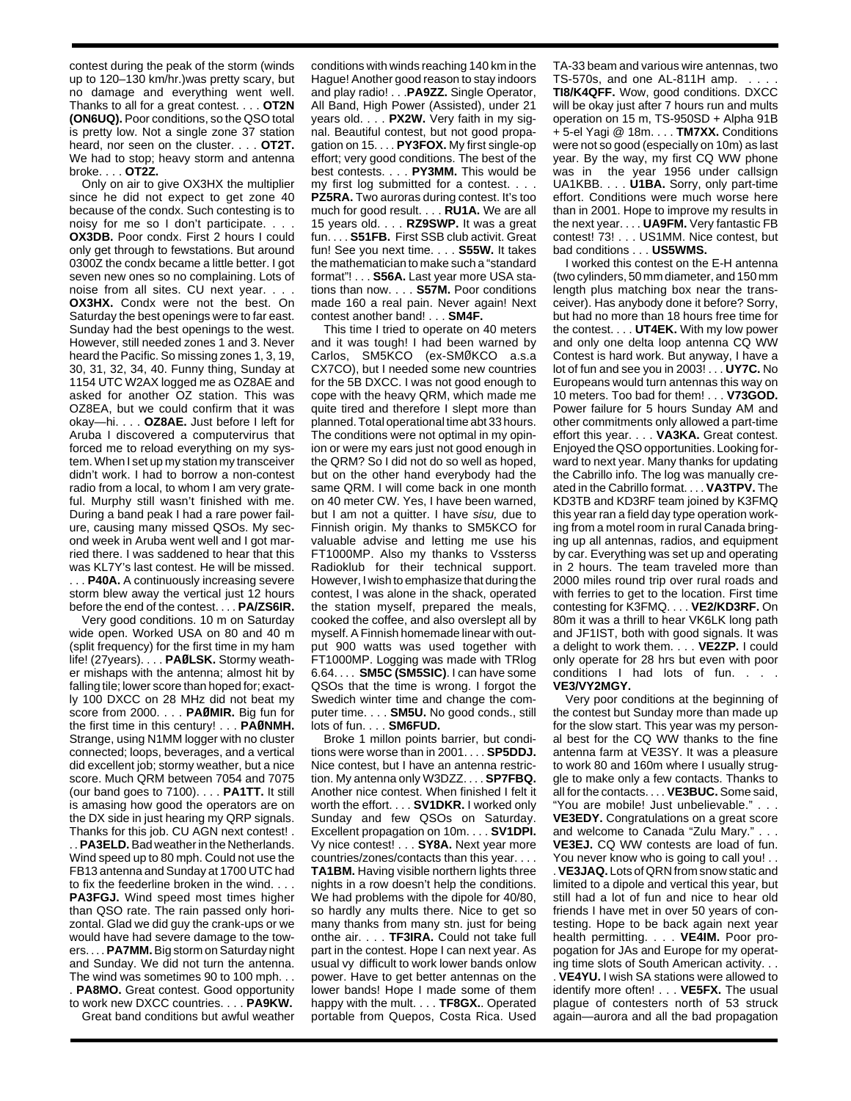contest during the peak of the storm (winds up to 120–130 km/hr.)was pretty scary, but no damage and everything went well. Thanks to all for a great contest. . . . **OT2N (ON6UQ).** Poor conditions, so the QSO total is pretty low. Not a single zone 37 station heard, nor seen on the cluster. . . . **OT2T.** We had to stop; heavy storm and antenna broke. . . . **OT2Z.**

Only on air to give OX3HX the multiplier since he did not expect to get zone 40 because of the condx. Such contesting is to noisy for me so I don't participate. . . . **OX3DB.** Poor condx. First 2 hours I could only get through to fewstations. But around 0300Z the condx became a little better. I got seven new ones so no complaining. Lots of noise from all sites. CU next year. . . . **OX3HX.** Condx were not the best. On Saturday the best openings were to far east. Sunday had the best openings to the west. However, still needed zones 1 and 3. Never heard the Pacific. So missing zones 1, 3, 19, 30, 31, 32, 34, 40. Funny thing, Sunday at 1154 UTC W2AX logged me as OZ8AE and asked for another OZ station. This was OZ8EA, but we could confirm that it was okay—hi. . . . **OZ8AE.** Just before I left for Aruba I discovered a computervirus that forced me to reload everything on my system. When I set up my station my transceiver didn't work. I had to borrow a non-contest radio from a local, to whom I am very grateful. Murphy still wasn't finished with me. During a band peak I had a rare power failure, causing many missed QSOs. My second week in Aruba went well and I got married there. I was saddened to hear that this was KL7Y's last contest. He will be missed. . . . **P40A.** A continuously increasing severe storm blew away the vertical just 12 hours before the end of the contest. . . . **PA/ZS6IR.**

Very good conditions. 10 m on Saturday wide open. Worked USA on 80 and 40 m (split frequency) for the first time in my ham life! (27years). . . . **PAØLSK.** Stormy weather mishaps with the antenna; almost hit by falling tile; lower score than hoped for; exactly 100 DXCC on 28 MHz did not beat my score from 2000. . . . **PAØMIR.** Big fun for the first time in this century! . . . **PAØNMH.** Strange, using N1MM logger with no cluster connected; loops, beverages, and a vertical did excellent job; stormy weather, but a nice score. Much QRM between 7054 and 7075 (our band goes to 7100). . . . **PA1TT.** It still is amasing how good the operators are on the DX side in just hearing my QRP signals. Thanks for this job. CU AGN next contest! .

. . **PA3ELD.**Bad weather in the Netherlands. Wind speed up to 80 mph. Could not use the FB13 antenna and Sunday at 1700 UTC had to fix the feederline broken in the wind. . . . **PA3FGJ.** Wind speed most times higher than QSO rate. The rain passed only horizontal. Glad we did guy the crank-ups or we would have had severe damage to the towers. . . . **PA7MM.**Big storm on Saturday night and Sunday. We did not turn the antenna. The wind was sometimes 90 to 100 mph. . . . **PA8MO.** Great contest. Good opportunity to work new DXCC countries. . . . **PA9KW.**

Great band conditions but awful weather

conditions with winds reaching 140 km in the Hague! Another good reason to stay indoors and play radio! . . .**PA9ZZ.** Single Operator, All Band, High Power (Assisted), under 21 years old. . . . **PX2W.** Very faith in my signal. Beautiful contest, but not good propagation on 15. . . . **PY3FOX.** My first single-op effort; very good conditions. The best of the best contests. . . . **PY3MM.** This would be my first log submitted for a contest. . . . **PZ5RA.** Two auroras during contest. It's too much for good result. . . . **RU1A.** We are all 15 years old. . . . **RZ9SWP.** It was a great fun. . . . **S51FB.** First SSB club activit. Great fun! See you next time. . . . **S55W.** It takes the mathematician to make such a "standard format"! . . . **S56A.** Last year more USA stations than now. . . . **S57M.** Poor conditions made 160 a real pain. Never again! Next contest another band! . . . **SM4F.**

This time I tried to operate on 40 meters and it was tough! I had been warned by Carlos, SM5KCO (ex-SMØKCO a.s.a CX7CO), but I needed some new countries for the 5B DXCC. I was not good enough to cope with the heavy QRM, which made me quite tired and therefore I slept more than planned. Total operational time abt 33 hours. The conditions were not optimal in my opinion or were my ears just not good enough in the QRM? So I did not do so well as hoped, but on the other hand everybody had the same QRM. I will come back in one month on 40 meter CW. Yes, I have been warned, but I am not a quitter. I have sisu, due to Finnish origin. My thanks to SM5KCO for valuable advise and letting me use his FT1000MP. Also my thanks to Vssterss Radioklub for their technical support. However, I wish to emphasize that during the contest, I was alone in the shack, operated the station myself, prepared the meals, cooked the coffee, and also overslept all by myself. A Finnish homemade linear with output 900 watts was used together with FT1000MP. Logging was made with TRlog 6.64. . . . **SM5C (SM5SIC)**. I can have some QSOs that the time is wrong. I forgot the Swedich winter time and change the computer time. . . . **SM5U.** No good conds., still lots of fun. . . . **SM6FUD.**

Broke 1 millon points barrier, but conditions were worse than in 2001. . . . **SP5DDJ.** Nice contest, but I have an antenna restriction. My antenna only W3DZZ. . . . **SP7FBQ.** Another nice contest. When finished I felt it worth the effort. . . . **SV1DKR.** I worked only Sunday and few QSOs on Saturday. Excellent propagation on 10m. . . . **SV1DPI.** Vy nice contest! . . . **SY8A.** Next year more countries/zones/contacts than this year. . . . **TA1BM.** Having visible northern lights three nights in a row doesn't help the conditions. We had problems with the dipole for 40/80, so hardly any mults there. Nice to get so many thanks from many stn. just for being onthe air. . . . **TF3IRA.** Could not take full part in the contest. Hope I can next year. As usual vy difficult to work lower bands onlow power. Have to get better antennas on the lower bands! Hope I made some of them happy with the mult. . . . **TF8GX.**. Operated portable from Quepos, Costa Rica. Used TA-33 beam and various wire antennas, two  $TS-570s$ , and one  $AL-811H$  amp.

**TI8/K4QFF.** Wow, good conditions. DXCC will be okay just after 7 hours run and mults operation on 15 m, TS-950SD + Alpha 91B + 5-el Yagi @ 18m. . . . **TM7XX.** Conditions were not so good (especially on 10m) as last year. By the way, my first CQ WW phone was in the year 1956 under callsign UA1KBB. . . . **U1BA.** Sorry, only part-time effort. Conditions were much worse here than in 2001. Hope to improve my results in the next year. . . . **UA9FM.** Very fantastic FB contest! 73! . . . US1MM. Nice contest, but bad conditions . . . **US5WMS.**

I worked this contest on the E-H antenna (two cylinders, 50 mm diameter, and 150 mm length plus matching box near the transceiver). Has anybody done it before? Sorry, but had no more than 18 hours free time for the contest. . . . **UT4EK.** With my low power and only one delta loop antenna CQ WW Contest is hard work. But anyway, I have a lot of fun and see you in 2003! . . . **UY7C.** No Europeans would turn antennas this way on 10 meters. Too bad for them! . . . **V73GOD.** Power failure for 5 hours Sunday AM and other commitments only allowed a part-time effort this year. . . . **VA3KA.** Great contest. Enjoyed the QSO opportunities. Looking forward to next year. Many thanks for updating the Cabrillo info. The log was manually created in the Cabrillo format. . . . **VA3TPV.** The KD3TB and KD3RF team joined by K3FMQ this year ran a field day type operation working from a motel room in rural Canada bringing up all antennas, radios, and equipment by car. Everything was set up and operating in 2 hours. The team traveled more than 2000 miles round trip over rural roads and with ferries to get to the location. First time contesting for K3FMQ. . . . **VE2/KD3RF.** On 80m it was a thrill to hear VK6LK long path and JF1IST, both with good signals. It was a delight to work them. . . . **VE2ZP.** I could only operate for 28 hrs but even with poor conditions I had lots of fun. . **VE3/VY2MGY.**

Very poor conditions at the beginning of the contest but Sunday more than made up for the slow start. This year was my personal best for the CQ WW thanks to the fine antenna farm at VE3SY. It was a pleasure to work 80 and 160m where I usually struggle to make only a few contacts. Thanks to all for the contacts. . . . **VE3BUC.** Some said, "You are mobile! Just unbelievable." . . . **VE3EDY.** Congratulations on a great score and welcome to Canada "Zulu Mary." . . . **VE3EJ.** CQ WW contests are load of fun. You never know who is going to call you! . . . **VE3JAQ.** Lots of QRN from snow static and limited to a dipole and vertical this year, but still had a lot of fun and nice to hear old friends I have met in over 50 years of contesting. Hope to be back again next year health permitting. . . . **VE4IM.** Poor propogation for JAs and Europe for my operating time slots of South American activity. . . . **VE4YU.** I wish SA stations were allowed to identify more often! . . . **VE5FX.** The usual plague of contesters north of 53 struck again—aurora and all the bad propagation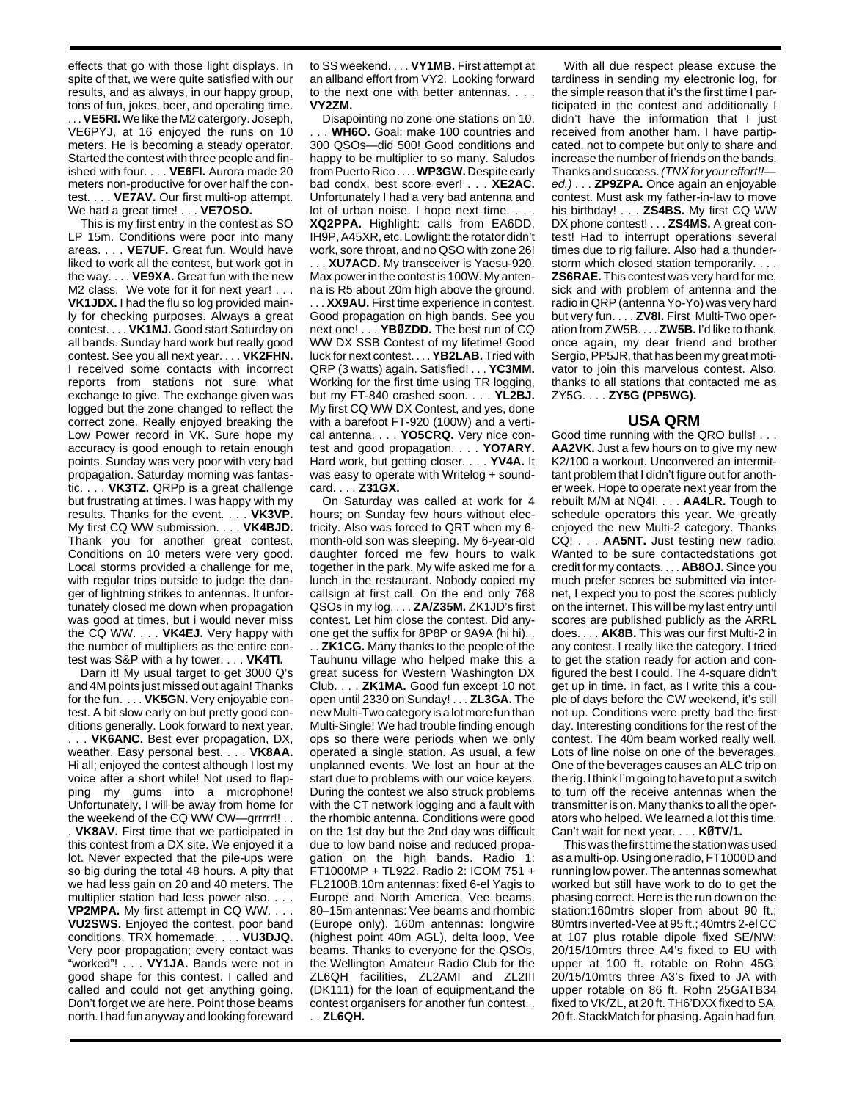effects that go with those light displays. In spite of that, we were quite satisfied with our results, and as always, in our happy group, tons of fun, jokes, beer, and operating time. .. **VE5RI.** We like the M2 catergory. Joseph, VE6PYJ, at 16 enjoyed the runs on 10 meters. He is becoming a steady operator. Started the contest with three people and finished with four. . . . **VE6FI.** Aurora made 20 meters non-productive for over half the contest. . . . **VE7AV.** Our first multi-op attempt. We had a great time! . . . **VE7OSO.**

This is my first entry in the contest as SO LP 15m. Conditions were poor into many areas. . . . **VE7UF.** Great fun. Would have liked to work all the contest, but work got in the way. . . . **VE9XA.** Great fun with the new M2 class. We vote for it for next year! . . . **VK1JDX.** I had the flu so log provided mainly for checking purposes. Always a great contest. . . . **VK1MJ.** Good start Saturday on all bands. Sunday hard work but really good contest. See you all next year. . . . **VK2FHN.** I received some contacts with incorrect reports from stations not sure what exchange to give. The exchange given was logged but the zone changed to reflect the correct zone. Really enjoyed breaking the Low Power record in VK. Sure hope my accuracy is good enough to retain enough points. Sunday was very poor with very bad propagation. Saturday morning was fantastic. . . . **VK3TZ.** QRPp is a great challenge but frustrating at times. I was happy with my results. Thanks for the event. . . . **VK3VP.** My first CQ WW submission. . . . **VK4BJD.** Thank you for another great contest. Conditions on 10 meters were very good. Local storms provided a challenge for me, with regular trips outside to judge the danger of lightning strikes to antennas. It unfortunately closed me down when propagation was good at times, but i would never miss the CQ WW. . . . **VK4EJ.** Very happy with the number of multipliers as the entire contest was S&P with a hy tower. . . . **VK4TI.**

Darn it! My usual target to get 3000 Q's and 4M points just missed out again! Thanks for the fun. . . . **VK5GN.** Very enjoyable contest. A bit slow early on but pretty good conditions generally. Look forward to next year. . . . **VK6ANC.** Best ever propagation, DX, weather. Easy personal best. . . . **VK8AA.** Hi all; enjoyed the contest although I lost my voice after a short while! Not used to flapping my gums into a microphone! Unfortunately, I will be away from home for the weekend of the CQ WW CW—grrrrr!! . . . **VK8AV.** First time that we participated in this contest from a DX site. We enjoyed it a lot. Never expected that the pile-ups were so big during the total 48 hours. A pity that we had less gain on 20 and 40 meters. The multiplier station had less power also. . . . **VP2MPA.** My first attempt in CQ WW. . . . **VU2SWS.** Enjoyed the contest, poor band conditions, TRX homemade. . . . **VU3DJQ.** Very poor propagation; every contact was "worked"! . . . **VY1JA.** Bands were not in good shape for this contest. I called and called and could not get anything going. Don't forget we are here. Point those beams north. I had fun anyway and looking foreward

to SS weekend. . . . **VY1MB.** First attempt at an allband effort from VY2. Looking forward to the next one with better antennas. . . . **VY2ZM.**

Disapointing no zone one stations on 10. . WH6O. Goal: make 100 countries and 300 QSOs—did 500! Good conditions and happy to be multiplier to so many. Saludos from Puerto Rico . . . . **WP3GW.**Despite early bad condx, best score ever! . . . **XE2AC.** Unfortunately I had a very bad antenna and lot of urban noise. I hope next time. . . . **XQ2PPA.** Highlight: calls from EA6DD, IH9P, A45XR, etc. Lowlight: the rotator didn't work, sore throat, and no QSO with zone 26! . . . **XU7ACD.** My transceiver is Yaesu-920. Max power in the contest is 100W. My antenna is R5 about 20m high above the ground. . . . **XX9AU.** First time experience in contest. Good propagation on high bands. See you next one! . . . **YBØZDD.** The best run of CQ WW DX SSB Contest of my lifetime! Good luck for next contest. . . . **YB2LAB.** Tried with QRP (3 watts) again. Satisfied! . . . **YC3MM.** Working for the first time using TR logging,

but my FT-840 crashed soon. . . . **YL2BJ.** My first CQ WW DX Contest, and yes, done with a barefoot FT-920 (100W) and a vertical antenna. . . . **YO5CRQ.** Very nice contest and good propagation. . . . **YO7ARY.** Hard work, but getting closer. . . . **YV4A.** It was easy to operate with Writelog + soundcard. . . . **Z31GX.**

On Saturday was called at work for 4 hours; on Sunday few hours without electricity. Also was forced to QRT when my 6 month-old son was sleeping. My 6-year-old daughter forced me few hours to walk together in the park. My wife asked me for a lunch in the restaurant. Nobody copied my callsign at first call. On the end only 768 QSOs in my log. . . . **ZA/Z35M.** ZK1JD's first contest. Let him close the contest. Did anyone get the suffix for 8P8P or 9A9A (hi hi). .

. . **ZK1CG.** Many thanks to the people of the Tauhunu village who helped make this a great sucess for Western Washington DX Club. . . . **ZK1MA.** Good fun except 10 not open until 2330 on Sunday! . . . **ZL3GA.** The new Multi-Two category is a lot more fun than Multi-Single! We had trouble finding enough ops so there were periods when we only operated a single station. As usual, a few unplanned events. We lost an hour at the start due to problems with our voice keyers. During the contest we also struck problems with the CT network logging and a fault with the rhombic antenna. Conditions were good on the 1st day but the 2nd day was difficult due to low band noise and reduced propagation on the high bands. Radio 1: FT1000MP + TL922. Radio 2: ICOM 751 + FL2100B.10m antennas: fixed 6-el Yagis to Europe and North America, Vee beams. 80–15m antennas: Vee beams and rhombic (Europe only). 160m antennas: longwire (highest point 40m AGL), delta loop, Vee beams. Thanks to everyone for the QSOs, the Wellington Amateur Radio Club for the ZL6QH facilities, ZL2AMI and ZL2III (DK111) for the loan of equipment,and the contest organisers for another fun contest. . . . **ZL6QH.**

With all due respect please excuse the tardiness in sending my electronic log, for the simple reason that it's the first time I participated in the contest and additionally I didn't have the information that I just received from another ham. I have partipcated, not to compete but only to share and increase the number of friends on the bands. Thanks and success. (TNX for your effort!! ed.) . . . **ZP9ZPA.** Once again an enjoyable contest. Must ask my father-in-law to move his birthday! . . . **ZS4BS.** My first CQ WW DX phone contest! . . . **ZS4MS.** A great contest! Had to interrupt operations several times due to rig failure. Also had a thunderstorm which closed station temporarily. . . . **ZS6RAE.** This contest was very hard for me, sick and with problem of antenna and the radio in QRP (antenna Yo-Yo) was very hard but very fun. . . . **ZV8I.** First Multi-Two operation from ZW5B. . . . **ZW5B.** I'd like to thank, once again, my dear friend and brother Sergio, PP5JR, that has been my great motivator to join this marvelous contest. Also, thanks to all stations that contacted me as ZY5G. . . . **ZY5G (PP5WG).**

## **USA QRM**

Good time running with the QRO bulls! . . . **AA2VK.** Just a few hours on to give my new K2/100 a workout. Unconvered an intermittant problem that I didn't figure out for another week. Hope to operate next year from the rebuilt M/M at NQ4I. . . . **AA4LR.** Tough to schedule operators this year. We greatly enjoyed the new Multi-2 category. Thanks CQ! . . . **AA5NT.** Just testing new radio. Wanted to be sure contactedstations got credit for my contacts. . . . **AB8OJ.** Since you much prefer scores be submitted via internet, I expect you to post the scores publicly on the internet. This will be my last entry until scores are published publicly as the ARRL does. . . . **AK8B.** This was our first Multi-2 in any contest. I really like the category. I tried to get the station ready for action and configured the best I could. The 4-square didn't get up in time. In fact, as I write this a couple of days before the CW weekend, it's still not up. Conditions were pretty bad the first day. Interesting conditions for the rest of the contest. The 40m beam worked really well. Lots of line noise on one of the beverages. One of the beverages causes an ALC trip on the rig. I think I'm going to have to put a switch to turn off the receive antennas when the transmitter is on. Many thanks to all the operators who helped. We learned a lot this time. Can't wait for next year. . . . **KØTV/1.**

This was the first time the station was used as a multi-op. Using one radio, FT1000D and running low power. The antennas somewhat worked but still have work to do to get the phasing correct. Here is the run down on the station:160mtrs sloper from about 90 ft.; 80mtrs inverted-Vee at 95 ft.; 40mtrs 2-el CC at 107 plus rotable dipole fixed SE/NW; 20/15/10mtrs three A4's fixed to EU with upper at 100 ft. rotable on Rohn 45G; 20/15/10mtrs three A3's fixed to JA with upper rotable on 86 ft. Rohn 25GATB34 fixed to VK/ZL, at 20 ft. TH6'DXX fixed to SA, 20 ft. StackMatch for phasing. Again had fun,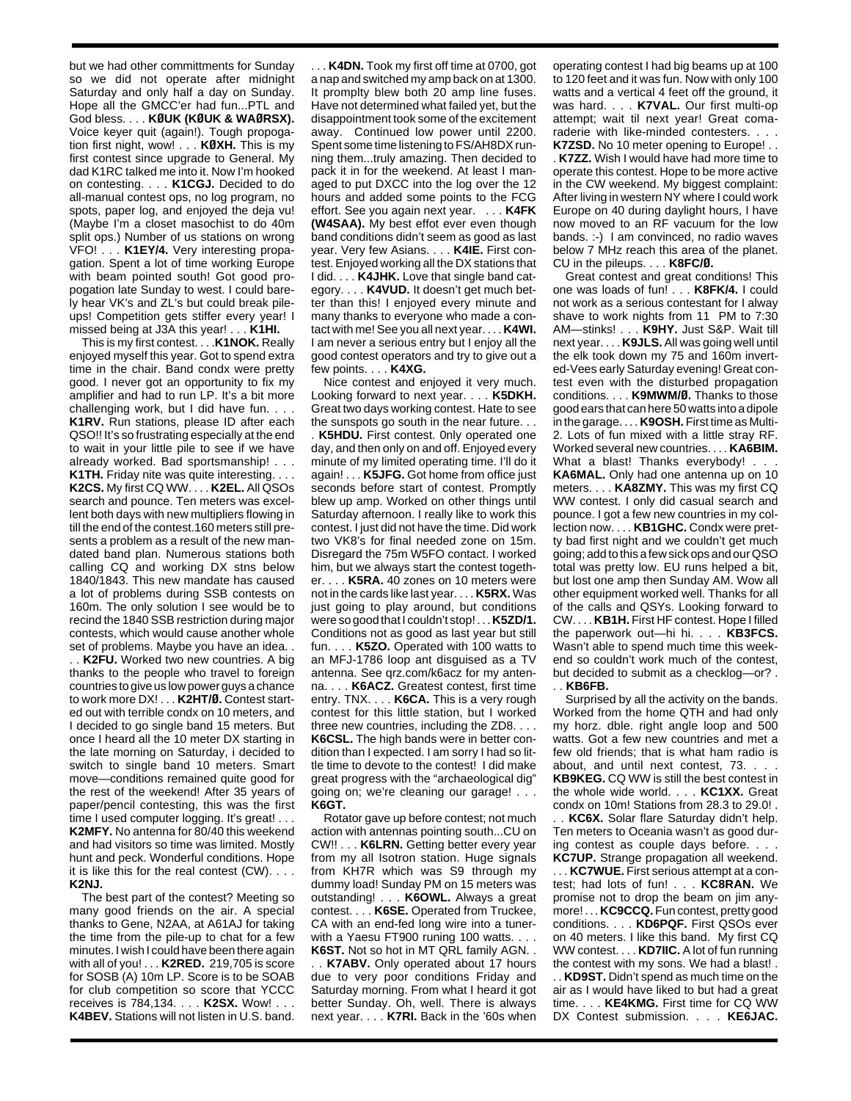but we had other committments for Sunday so we did not operate after midnight Saturday and only half a day on Sunday. Hope all the GMCC'er had fun...PTL and God bless. . . . **KØUK (KØUK & WAØRSX).** Voice keyer quit (again!). Tough propogation first night, wow! . . . **KØXH.** This is my first contest since upgrade to General. My dad K1RC talked me into it. Now I'm hooked on contesting. . . . **K1CGJ.** Decided to do all-manual contest ops, no log program, no spots, paper log, and enjoyed the deja vu! (Maybe I'm a closet masochist to do 40m split ops.) Number of us stations on wrong VFO! . . . **K1EY/4.** Very interesting propagation. Spent a lot of time working Europe with beam pointed south! Got good propogation late Sunday to west. I could barely hear VK's and ZL's but could break pileups! Competition gets stiffer every year! I missed being at J3A this year! . . . **K1HI.**

This is my first contest. . . .**K1NOK.** Really enjoyed myself this year. Got to spend extra time in the chair. Band condx were pretty good. I never got an opportunity to fix my amplifier and had to run LP. It's a bit more challenging work, but I did have fun. . . . **K1RV.** Run stations, please ID after each QSO!! It's so frustrating especially at the end to wait in your little pile to see if we have already worked. Bad sportsmanship! . . . **K1TH.** Friday nite was quite interesting. **K2CS.** My first CQ WW. . . . **K2EL.** All QSOs search and pounce. Ten meters was excellent both days with new multipliers flowing in till the end of the contest.160 meters still presents a problem as a result of the new mandated band plan. Numerous stations both calling CQ and working DX stns below 1840/1843. This new mandate has caused a lot of problems during SSB contests on 160m. The only solution I see would be to recind the 1840 SSB restriction during major contests, which would cause another whole set of problems. Maybe you have an idea. . . . **K2FU.** Worked two new countries. A big thanks to the people who travel to foreign countries to give us low power guys a chance to work more DX! . . . **K2HT/Ø.** Contest started out with terrible condx on 10 meters, and I decided to go single band 15 meters. But once I heard all the 10 meter DX starting in the late morning on Saturday, i decided to switch to single band 10 meters. Smart move—conditions remained quite good for the rest of the weekend! After 35 years of paper/pencil contesting, this was the first time I used computer logging. It's great! . . . **K2MFY.** No antenna for 80/40 this weekend and had visitors so time was limited. Mostly hunt and peck. Wonderful conditions. Hope it is like this for the real contest (CW). . . . **K2NJ.**

The best part of the contest? Meeting so many good friends on the air. A special thanks to Gene, N2AA, at A61AJ for taking the time from the pile-up to chat for a few minutes. I wish I could have been there again with all of you! . . . **K2RED.** 219,705 is score for SOSB (A) 10m LP. Score is to be SOAB for club competition so score that YCCC receives is 784,134. . . . **K2SX.** Wow! . . . **K4BEV.** Stations will not listen in U.S. band.

. . . **K4DN.** Took my first off time at 0700, got a nap and switched my amp back on at 1300. It promplty blew both 20 amp line fuses. Have not determined what failed yet, but the disappointment took some of the excitement away. Continued low power until 2200. Spent some time listening to FS/AH8DX running them...truly amazing. Then decided to pack it in for the weekend. At least I managed to put DXCC into the log over the 12 hours and added some points to the FCG effort. See you again next year. . . . **K4FK (W4SAA).** My best effot ever even though band conditions didn't seem as good as last year. Very few Asians. . . . **K4IE.** First contest. Enjoyed working all the DX stations that I did. . . . **K4JHK.** Love that single band category. . . . **K4VUD.** It doesn't get much better than this! I enjoyed every minute and many thanks to everyone who made a contact with me! See you all next year. . . . **K4WI.** I am never a serious entry but I enjoy all the good contest operators and try to give out a few points. . . . **K4XG.**

Nice contest and enjoyed it very much. Looking forward to next year. . . . **K5DKH.** Great two days working contest. Hate to see the sunspots go south in the near future. . .

. **K5HDU.** First contest. 0nly operated one day, and then only on and off. Enjoyed every minute of my limited operating time. I'll do it again! . . . **K5JFG.** Got home from office just seconds before start of contest. Promptly blew up amp. Worked on other things until Saturday afternoon. I really like to work this contest. I just did not have the time. Did work two VK8's for final needed zone on 15m. Disregard the 75m W5FO contact. I worked him, but we always start the contest together. . . . **K5RA.** 40 zones on 10 meters were not in the cards like last year. . . . **K5RX.** Was just going to play around, but conditions were so good that I couldn't stop! . . . **K5ZD/1.** Conditions not as good as last year but still fun. . . . **K5ZO.** Operated with 100 watts to an MFJ-1786 loop ant disguised as a TV antenna. See qrz.com/k6acz for my antenna. . . . **K6ACZ.** Greatest contest, first time entry. TNX. . . . **K6CA.** This is a very rough contest for this little station, but I worked three new countries, including the ZD8. . . . **K6CSL.** The high bands were in better condition than I expected. I am sorry I had so little time to devote to the contest! I did make great progress with the "archaeological dig" going on; we're cleaning our garage! . . . **K6GT.**

Rotator gave up before contest; not much action with antennas pointing south...CU on CW!! . . . **K6LRN.** Getting better every year from my all Isotron station. Huge signals from KH7R which was S9 through my dummy load! Sunday PM on 15 meters was outstanding! . . . **K6OWL.** Always a great contest. . . . **K6SE.** Operated from Truckee, CA with an end-fed long wire into a tunerwith a Yaesu FT900 runing 100 watts. . . .

**K6ST.** Not so hot in MT QRL family AGN. . . . **K7ABV.** Only operated about 17 hours due to very poor conditions Friday and Saturday morning. From what I heard it got better Sunday. Oh, well. There is always next year. . . . **K7RI.** Back in the '60s when operating contest I had big beams up at 100 to 120 feet and it was fun. Now with only 100 watts and a vertical 4 feet off the ground, it was hard. . . . **K7VAL.** Our first multi-op attempt; wait til next year! Great comaraderie with like-minded contesters. . . .

**K7ZSD.** No 10 meter opening to Europe! . . . **K7ZZ.** Wish I would have had more time to operate this contest. Hope to be more active in the CW weekend. My biggest complaint: After living in western NY where I could work Europe on 40 during daylight hours, I have now moved to an RF vacuum for the low bands. :-) I am convinced, no radio waves below 7 MHz reach this area of the planet. CU in the pileups. . . . **K8FC/Ø.**

Great contest and great conditions! This one was loads of fun! . . . **K8FK/4.** I could not work as a serious contestant for I alway shave to work nights from 11 PM to 7:30 AM—stinks! . . . **K9HY.** Just S&P. Wait till next year. . . . **K9JLS.** All was going well until the elk took down my 75 and 160m inverted-Vees early Saturday evening! Great contest even with the disturbed propagation conditions. . . . **K9MWM/Ø.** Thanks to those good ears that can here 50 watts into a dipole in the garage. . . . **K9OSH.** First time as Multi-2. Lots of fun mixed with a little stray RF. Worked several new countries. . . . **KA6BIM.** What a blast! Thanks everybody! . . . **KA6MAL.** Only had one antenna up on 10 meters. . . . **KA8ZMY.** This was my first CQ WW contest. I only did casual search and pounce. I got a few new countries in my collection now. . . . **KB1GHC.** Condx were pretty bad first night and we couldn't get much going; add to this a few sick ops and our QSO total was pretty low. EU runs helped a bit, but lost one amp then Sunday AM. Wow all other equipment worked well. Thanks for all of the calls and QSYs. Looking forward to CW. . . . **KB1H.** First HF contest. Hope I filled the paperwork out—hi hi. . . . **KB3FCS.** Wasn't able to spend much time this weekend so couldn't work much of the contest, but decided to submit as a checklog—or? . . . **KB6FB.**

Surprised by all the activity on the bands. Worked from the home QTH and had only my horz. dble. right angle loop and 500 watts. Got a few new countries and met a few old friends; that is what ham radio is about, and until next contest, 73. . . . **KB9KEG.** CQ WW is still the best contest in the whole wide world. . . . **KC1XX.** Great condx on 10m! Stations from 28.3 to 29.0! . . . **KC6X.** Solar flare Saturday didn't help. Ten meters to Oceania wasn't as good during contest as couple days before. . . . **KC7UP.** Strange propagation all weekend.

. . . **KC7WUE.** First serious attempt at a contest; had lots of fun! . . . **KC8RAN.** We promise not to drop the beam on jim anymore! . . . **KC9CCQ.** Fun contest, pretty good conditions. . . . **KD6PQF.** First QSOs ever on 40 meters. I like this band. My first CQ WW contest. . . . **KD7IIC.** A lot of fun running the contest with my sons. We had a blast! . . . **KD9ST.** Didn't spend as much time on the air as I would have liked to but had a great time. . . . **KE4KMG.** First time for CQ WW DX Contest submission. . . . **KE6JAC.**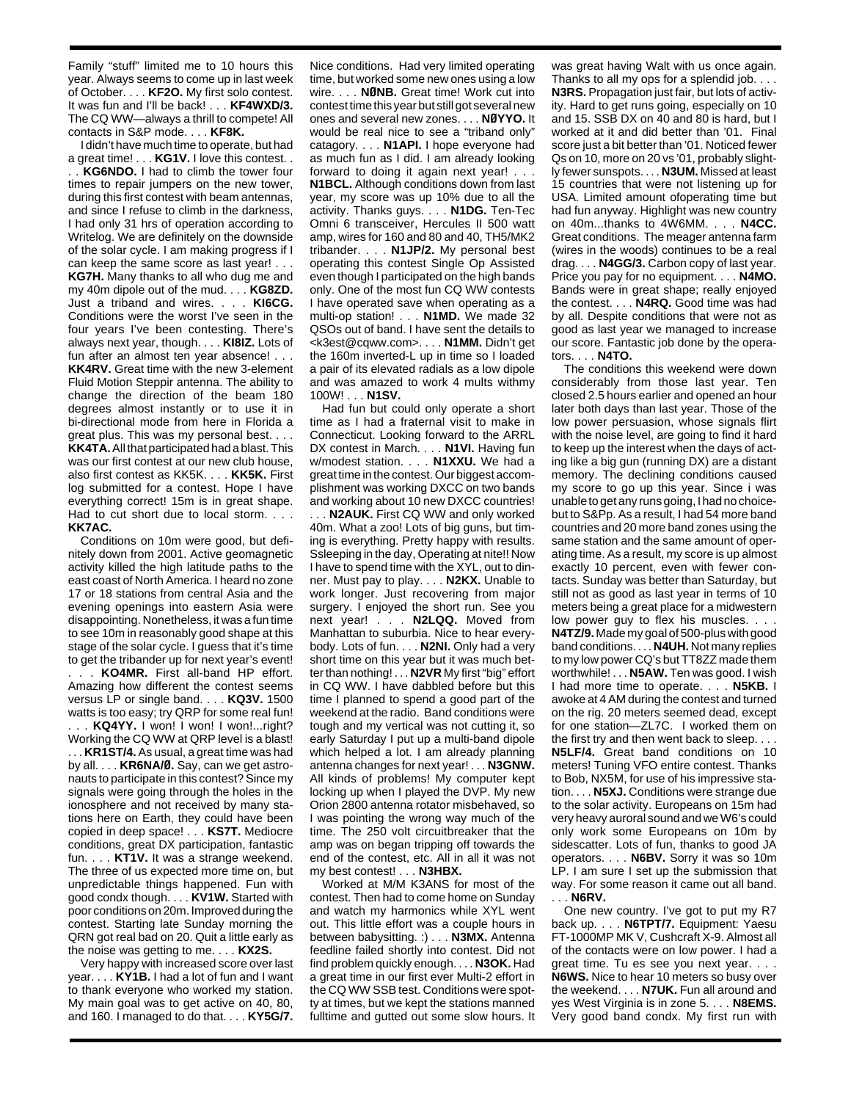Family "stuff" limited me to 10 hours this year. Always seems to come up in last week of October. . . . **KF2O.** My first solo contest. It was fun and I'll be back! . . . **KF4WXD/3.** The CQ WW—always a thrill to compete! All contacts in S&P mode. . . . **KF8K.**

I didn't have much time to operate, but had a great time! . . . **KG1V.** I love this contest. . . . **KG6NDO.** I had to climb the tower four times to repair jumpers on the new tower, during this first contest with beam antennas, and since I refuse to climb in the darkness, I had only 31 hrs of operation according to Writelog. We are definitely on the downside of the solar cycle. I am making progress if I can keep the same score as last year! . . . **KG7H.** Many thanks to all who dug me and my 40m dipole out of the mud. . . . **KG8ZD.** Just a triband and wires. . . . **KI6CG.** Conditions were the worst I've seen in the four years I've been contesting. There's always next year, though. . . . **KI8IZ.** Lots of fun after an almost ten year absence! . . . **KK4RV.** Great time with the new 3-element Fluid Motion Steppir antenna. The ability to change the direction of the beam 180 degrees almost instantly or to use it in bi-directional mode from here in Florida a great plus. This was my personal best. . . . **KK4TA.**All that participated had a blast. This was our first contest at our new club house, also first contest as KK5K. . . . **KK5K.** First log submitted for a contest. Hope I have everything correct! 15m is in great shape. Had to cut short due to local storm. . . . **KK7AC.**

Conditions on 10m were good, but definitely down from 2001. Active geomagnetic activity killed the high latitude paths to the east coast of North America. I heard no zone 17 or 18 stations from central Asia and the evening openings into eastern Asia were disappointing. Nonetheless, it was a fun time to see 10m in reasonably good shape at this stage of the solar cycle. I guess that it's time to get the tribander up for next year's event!

. . . **KO4MR.** First all-band HP effort. Amazing how different the contest seems versus LP or single band. . . . **KQ3V.** 1500 watts is too easy; try QRP for some real fun! . . . **KQ4YY.** I won! I won! I won!...right? Working the CQ WW at QRP level is a blast! . . . **KR1ST/4.** As usual, a great time was had by all. . . . **KR6NA/Ø.** Say, can we get astronauts to participate in this contest? Since my signals were going through the holes in the ionosphere and not received by many stations here on Earth, they could have been copied in deep space! . . . **KS7T.** Mediocre conditions, great DX participation, fantastic fun. . . . **KT1V.** It was a strange weekend. The three of us expected more time on, but unpredictable things happened. Fun with good condx though. . . . **KV1W.** Started with poor conditions on 20m. Improved during the contest. Starting late Sunday morning the QRN got real bad on 20. Quit a little early as the noise was getting to me. . . . **KX2S.**

Very happy with increased score over last year. . . . **KY1B.** I had a lot of fun and I want to thank everyone who worked my station. My main goal was to get active on 40, 80, and 160. I managed to do that. . . . **KY5G/7.** Nice conditions. Had very limited operating time, but worked some new ones using a low wire. . . . **NØNB.** Great time! Work cut into contest time this year but still got several new ones and several new zones. . . . **NØYYO.** It would be real nice to see a "triband only" catagory. . . . **N1API.** I hope everyone had as much fun as I did. I am already looking forward to doing it again next year! . . . **N1BCL.** Although conditions down from last year, my score was up 10% due to all the activity. Thanks guys. . . . **N1DG.** Ten-Tec Omni 6 transceiver, Hercules II 500 watt amp, wires for 160 and 80 and 40, TH5/MK2 tribander. . . . **N1JP/2.** My personal best operating this contest Single Op Assisted even though I participated on the high bands only. One of the most fun CQ WW contests I have operated save when operating as a multi-op station! . . . **N1MD.** We made 32 QSOs out of band. I have sent the details to <k3est@cqww.com>. . . . **N1MM.** Didn't get the 160m inverted-L up in time so I loaded a pair of its elevated radials as a low dipole and was amazed to work 4 mults withmy 100W! . . . **N1SV.**

Had fun but could only operate a short time as I had a fraternal visit to make in Connecticut. Looking forward to the ARRL DX contest in March. . . . **N1VI.** Having fun w/modest station. . . . **N1XXU.** We had a great time in the contest. Our biggest accomplishment was working DXCC on two bands and working about 10 new DXCC countries!

. . . **N2AUK.** First CQ WW and only worked 40m. What a zoo! Lots of big guns, but timing is everything. Pretty happy with results. Ssleeping in the day, Operating at nite!! Now I have to spend time with the XYL, out to dinner. Must pay to play. . . . **N2KX.** Unable to work longer. Just recovering from major surgery. I enjoyed the short run. See you next year! . . . **N2LQQ.** Moved from Manhattan to suburbia. Nice to hear everybody. Lots of fun. . . . **N2NI.** Only had a very short time on this year but it was much better than nothing! . . . **N2VR** My first "big" effort in CQ WW. I have dabbled before but this time I planned to spend a good part of the weekend at the radio. Band conditions were tough and my vertical was not cutting it, so early Saturday I put up a multi-band dipole which helped a lot. I am already planning antenna changes for next year! . . . **N3GNW.** All kinds of problems! My computer kept locking up when I played the DVP. My new Orion 2800 antenna rotator misbehaved, so I was pointing the wrong way much of the time. The 250 volt circuitbreaker that the amp was on began tripping off towards the end of the contest, etc. All in all it was not my best contest! . . . **N3HBX.**

Worked at M/M K3ANS for most of the contest. Then had to come home on Sunday and watch my harmonics while XYL went out. This little effort was a couple hours in between babysitting. :) . . . **N3MX.** Antenna feedline failed shortly into contest. Did not find problem quickly enough. . . . **N3OK.** Had a great time in our first ever Multi-2 effort in the CQ WW SSB test. Conditions were spotty at times, but we kept the stations manned fulltime and gutted out some slow hours. It was great having Walt with us once again. Thanks to all my ops for a splendid job. . . . **N3RS.** Propagation just fair, but lots of activity. Hard to get runs going, especially on 10 and 15. SSB DX on 40 and 80 is hard, but I worked at it and did better than '01. Final score just a bit better than '01. Noticed fewer Qs on 10, more on 20 vs '01, probably slightly fewer sunspots. . . . **N3UM.** Missed at least 15 countries that were not listening up for USA. Limited amount ofoperating time but had fun anyway. Highlight was new country on 40m...thanks to 4W6MM. . . . **N4CC.** Great conditions. The meager antenna farm (wires in the woods) continues to be a real drag. . . . **N4GG/3.** Carbon copy of last year. Price you pay for no equipment. . . . **N4MO.** Bands were in great shape; really enjoyed the contest. . . . **N4RQ.** Good time was had by all. Despite conditions that were not as good as last year we managed to increase our score. Fantastic job done by the operators. . . . **N4TO.**

The conditions this weekend were down considerably from those last year. Ten closed 2.5 hours earlier and opened an hour later both days than last year. Those of the low power persuasion, whose signals flirt with the noise level, are going to find it hard to keep up the interest when the days of acting like a big gun (running DX) are a distant memory. The declining conditions caused my score to go up this year. Since i was unable to get any runs going, I had no choicebut to S&Pp. As a result, I had 54 more band countries and 20 more band zones using the same station and the same amount of operating time. As a result, my score is up almost exactly 10 percent, even with fewer contacts. Sunday was better than Saturday, but still not as good as last year in terms of 10 meters being a great place for a midwestern low power guy to flex his muscles. . . . **N4TZ/9.** Made my goal of 500-plus with good band conditions. . . . **N4UH.** Not many replies to my low power CQ's but TT8ZZ made them worthwhile! . . . **N5AW.** Ten was good. I wish I had more time to operate. . . . **N5KB.** I awoke at 4 AM during the contest and turned on the rig. 20 meters seemed dead, except for one station—ZL7C. I worked them on the first try and then went back to sleep. . . . **N5LF/4.** Great band conditions on 10 meters! Tuning VFO entire contest. Thanks to Bob, NX5M, for use of his impressive station. . . . **N5XJ.** Conditions were strange due to the solar activity. Europeans on 15m had

very heavy auroral sound and we W6's could only work some Europeans on 10m by sidescatter. Lots of fun, thanks to good JA operators. . . . **N6BV.** Sorry it was so 10m LP. I am sure I set up the submission that way. For some reason it came out all band. . . . **N6RV.**

One new country. I've got to put my R7 back up. . . . **N6TPT/7.** Equipment: Yaesu FT-1000MP MK V, Cushcraft X-9. Almost all of the contacts were on low power. I had a great time. Tu es see you next year. . . . **N6WS.** Nice to hear 10 meters so busy over the weekend. . . . **N7UK.** Fun all around and yes West Virginia is in zone 5. . . . **N8EMS.** Very good band condx. My first run with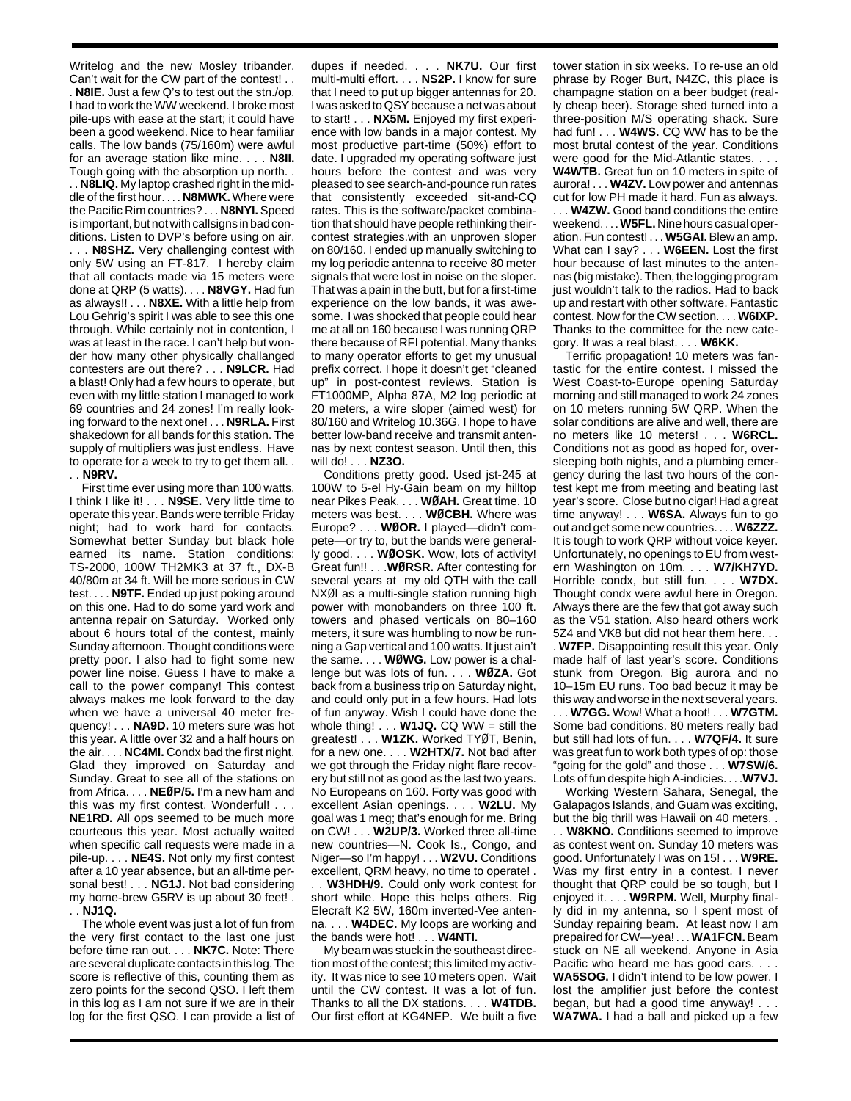Writelog and the new Mosley tribander. Can't wait for the CW part of the contest! . . . **N8IE.** Just a few Q's to test out the stn./op. I had to work the WW weekend. I broke most pile-ups with ease at the start; it could have been a good weekend. Nice to hear familiar calls. The low bands (75/160m) were awful for an average station like mine. . . . **N8II.** Tough going with the absorption up north. .

. . **N8LIQ.** My laptop crashed right in the middle of the first hour. . . . **N8MWK.** Where were the Pacific Rim countries? . . . **N8NYI.** Speed is important, but not with callsigns in bad conditions. Listen to DVP's before using on air.

. . . **N8SHZ.** Very challenging contest with only 5W using an FT-817. I hereby claim that all contacts made via 15 meters were done at QRP (5 watts). . . . **N8VGY.** Had fun as always!! . . . **N8XE.** With a little help from Lou Gehrig's spirit I was able to see this one through. While certainly not in contention, I was at least in the race. I can't help but wonder how many other physically challanged contesters are out there? . . . **N9LCR.** Had a blast! Only had a few hours to operate, but even with my little station I managed to work 69 countries and 24 zones! I'm really looking forward to the next one! . . . **N9RLA.** First shakedown for all bands for this station. The supply of multipliers was just endless. Have to operate for a week to try to get them all. . . . **N9RV.**

First time ever using more than 100 watts. I think I like it! . . . **N9SE.** Very little time to operate this year. Bands were terrible Friday night; had to work hard for contacts. Somewhat better Sunday but black hole earned its name. Station conditions: TS-2000, 100W TH2MK3 at 37 ft., DX-B 40/80m at 34 ft. Will be more serious in CW test. . . . **N9TF.** Ended up just poking around on this one. Had to do some yard work and antenna repair on Saturday. Worked only about 6 hours total of the contest, mainly Sunday afternoon. Thought conditions were pretty poor. I also had to fight some new power line noise. Guess I have to make a call to the power company! This contest always makes me look forward to the day when we have a universal 40 meter frequency! . . . **NA9D.** 10 meters sure was hot this year. A little over 32 and a half hours on the air. . . . **NC4MI.** Condx bad the first night. Glad they improved on Saturday and Sunday. Great to see all of the stations on from Africa. . . . **NEØP/5.** I'm a new ham and this was my first contest. Wonderful! . . . **NE1RD.** All ops seemed to be much more courteous this year. Most actually waited when specific call requests were made in a pile-up. . . . **NE4S.** Not only my first contest after a 10 year absence, but an all-time personal best! . . . **NG1J.** Not bad considering my home-brew G5RV is up about 30 feet! . . . **NJ1Q.**

The whole event was just a lot of fun from the very first contact to the last one just before time ran out. . . . **NK7C.** Note: There are several duplicate contacts in this log. The score is reflective of this, counting them as zero points for the second QSO. I left them in this log as I am not sure if we are in their log for the first QSO. I can provide a list of

dupes if needed. . . . **NK7U.** Our first multi-multi effort. . . . **NS2P.** I know for sure that I need to put up bigger antennas for 20. I was asked to QSY because a net was about to start! . . . **NX5M.** Enjoyed my first experience with low bands in a major contest. My most productive part-time (50%) effort to date. I upgraded my operating software just hours before the contest and was very pleased to see search-and-pounce run rates that consistently exceeded sit-and-CQ rates. This is the software/packet combination that should have people rethinking theircontest strategies.with an unproven sloper on 80/160. I ended up manually switching to my log periodic antenna to receive 80 meter signals that were lost in noise on the sloper. That was a pain in the butt, but for a first-time experience on the low bands, it was awesome. I was shocked that people could hear me at all on 160 because I was running QRP there because of RFI potential. Many thanks to many operator efforts to get my unusual prefix correct. I hope it doesn't get "cleaned up" in post-contest reviews. Station is FT1000MP, Alpha 87A, M2 log periodic at 20 meters, a wire sloper (aimed west) for 80/160 and Writelog 10.36G. I hope to have better low-band receive and transmit antennas by next contest season. Until then, this will do! . . . **NZ3O.**

Conditions pretty good. Used jst-245 at 100W to 5-el Hy-Gain beam on my hilltop near Pikes Peak. . . . **WØAH.** Great time. 10 meters was best. . . . **WØCBH.** Where was Europe? . . . **WØOR.** I played—didn't compete—or try to, but the bands were generally good. . . . **WØOSK.** Wow, lots of activity! Great fun!! . . .**WØRSR.** After contesting for several years at my old QTH with the call NXØI as a multi-single station running high power with monobanders on three 100 ft. towers and phased verticals on 80–160 meters, it sure was humbling to now be running a Gap vertical and 100 watts. It just ain't the same. . . . **WØWG.** Low power is a challenge but was lots of fun. . . . **WØZA.** Got back from a business trip on Saturday night, and could only put in a few hours. Had lots of fun anyway. Wish I could have done the whole thing! . . . **W1JQ.** CQ WW = still the greatest! . . . **W1ZK.** Worked TYØT, Benin, for a new one. . . . **W2HTX/7.** Not bad after we got through the Friday night flare recovery but still not as good as the last two years. No Europeans on 160. Forty was good with excellent Asian openings. . . . **W2LU.** My goal was 1 meg; that's enough for me. Bring on CW! . . . **W2UP/3.** Worked three all-time new countries—N. Cook Is., Congo, and Niger—so I'm happy! . . . **W2VU.** Conditions excellent, QRM heavy, no time to operate! . **W3HDH/9.** Could only work contest for short while. Hope this helps others. Rig Elecraft K2 5W, 160m inverted-Vee antenna. . . . **W4DEC.** My loops are working and the bands were hot! . . . **W4NTI.**

My beam was stuck in the southeast direction most of the contest; this limited my activity. It was nice to see 10 meters open. Wait until the CW contest. It was a lot of fun. Thanks to all the DX stations. . . . **W4TDB.** Our first effort at KG4NEP. We built a five tower station in six weeks. To re-use an old phrase by Roger Burt, N4ZC, this place is champagne station on a beer budget (really cheap beer). Storage shed turned into a three-position M/S operating shack. Sure had fun! . . . **W4WS.** CQ WW has to be the most brutal contest of the year. Conditions were good for the Mid-Atlantic states. . . .

**W4WTB.** Great fun on 10 meters in spite of aurora! . . . **W4ZV.** Low power and antennas cut for low PH made it hard. Fun as always. . . . **W4ZW.** Good band conditions the entire weekend. . . . **W5FL.** Nine hours casual operation. Fun contest! . . . **W5GAI.** Blew an amp. What can I say? . . . **W6EEN.** Lost the first hour because of last minutes to the antennas (big mistake). Then, the logging program just wouldn't talk to the radios. Had to back up and restart with other software. Fantastic contest. Now for the CW section. . . . **W6IXP.** Thanks to the committee for the new category. It was a real blast. . . . **W6KK.**

Terrific propagation! 10 meters was fantastic for the entire contest. I missed the West Coast-to-Europe opening Saturday morning and still managed to work 24 zones on 10 meters running 5W QRP. When the solar conditions are alive and well, there are no meters like 10 meters! . . . **W6RCL.** Conditions not as good as hoped for, oversleeping both nights, and a plumbing emergency during the last two hours of the contest kept me from meeting and beating last year's score. Close but no cigar! Had a great time anyway! . . . **W6SA.** Always fun to go out and get some new countries. . . . **W6ZZZ.** It is tough to work QRP without voice keyer. Unfortunately, no openings to EU from western Washington on 10m. . . . **W7/KH7YD.** Horrible condx, but still fun. . . . **W7DX.** Thought condx were awful here in Oregon. Always there are the few that got away such as the V51 station. Also heard others work 5Z4 and VK8 but did not hear them here. . . . **W7FP.** Disappointing result this year. Only made half of last year's score. Conditions stunk from Oregon. Big aurora and no 10–15m EU runs. Too bad becuz it may be

this way and worse in the next several years. . . . **W7GG.** Wow! What a hoot! . . . **W7GTM.** Some bad conditions. 80 meters really bad but still had lots of fun. . . . **W7QF/4.** It sure was great fun to work both types of op: those "going for the gold" and those . . . **W7SW/6.** Lots of fun despite high A-indicies. . . .**W7VJ.**

Working Western Sahara, Senegal, the Galapagos Islands, and Guam was exciting, but the big thrill was Hawaii on 40 meters. . . . **W8KNO.** Conditions seemed to improve as contest went on. Sunday 10 meters was good. Unfortunately I was on 15! . . . **W9RE.** Was my first entry in a contest. I never thought that QRP could be so tough, but I enjoyed it. . . . **W9RPM.** Well, Murphy finally did in my antenna, so I spent most of Sunday repairing beam. At least now I am prepaired for CW—yea! . . . **WA1FCN.**Beam stuck on NE all weekend. Anyone in Asia Pacific who heard me has good ears. . . . **WA5SOG.** I didn't intend to be low power. I lost the amplifier just before the contest began, but had a good time anyway! . . . **WA7WA.** I had a ball and picked up a few